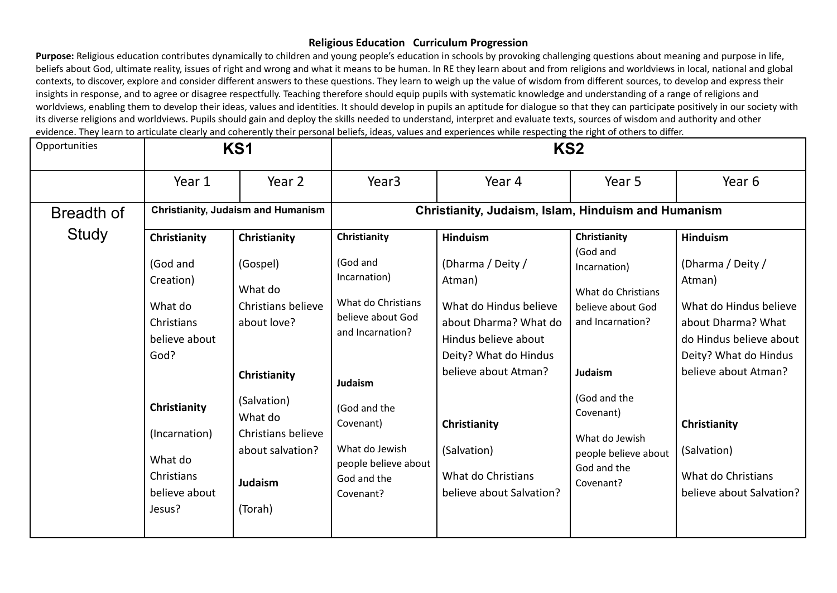Purpose: Religious education contributes dynamically to children and young people's education in schools by provoking challenging questions about meaning and purpose in life, beliefs about God, ultimate reality, issues of right and wrong and what it means to be human. In RE they learn about and from religions and worldviews in local, national and global contexts, to discover, explore and consider different answers to these questions. They learn to weigh up the value of wisdom from different sources, to develop and express their insights in response, and to agree or disagree respectfully. Teaching therefore should equip pupils with systematic knowledge and understanding of a range of religions and worldviews, enabling them to develop their ideas, values and identities. It should develop in pupils an aptitude for dialogue so that they can participate positively in our society with its diverse religions and worldviews. Pupils should gain and deploy the skills needed to understand, interpret and evaluate texts, sources of wisdom and authority and other evidence. They learn to articulate clearly and coherently their personal beliefs, ideas, values and experiences while respecting the right of others to differ.

| Opportunities |                                                                                                                          | KS1                                                                                                                                      |                                                                                                                                                                   |                                                                                                                                                                                            | KS <sub>2</sub>                                                                                                                                                          |                                                                                                                                                                                            |
|---------------|--------------------------------------------------------------------------------------------------------------------------|------------------------------------------------------------------------------------------------------------------------------------------|-------------------------------------------------------------------------------------------------------------------------------------------------------------------|--------------------------------------------------------------------------------------------------------------------------------------------------------------------------------------------|--------------------------------------------------------------------------------------------------------------------------------------------------------------------------|--------------------------------------------------------------------------------------------------------------------------------------------------------------------------------------------|
|               | Year 1                                                                                                                   | Year 2                                                                                                                                   | Year <sub>3</sub>                                                                                                                                                 | Year 4                                                                                                                                                                                     | Year 5                                                                                                                                                                   | Year <sub>6</sub>                                                                                                                                                                          |
| Breadth of    |                                                                                                                          | <b>Christianity, Judaism and Humanism</b>                                                                                                |                                                                                                                                                                   | Christianity, Judaism, Islam, Hinduism and Humanism                                                                                                                                        |                                                                                                                                                                          |                                                                                                                                                                                            |
| Study         | Christianity<br>(God and<br>Creation)<br>What do<br>Christians<br>believe about<br>God?<br>Christianity<br>(Incarnation) | Christianity<br>(Gospel)<br>What do<br>Christians believe<br>about love?<br>Christianity<br>(Salvation)<br>What do<br>Christians believe | Christianity<br>(God and<br>Incarnation)<br>What do Christians<br>believe about God<br>and Incarnation?<br>Judaism<br>(God and the<br>Covenant)<br>What do Jewish | <b>Hinduism</b><br>(Dharma / Deity /<br>Atman)<br>What do Hindus believe<br>about Dharma? What do<br>Hindus believe about<br>Deity? What do Hindus<br>believe about Atman?<br>Christianity | Christianity<br>(God and<br>Incarnation)<br>What do Christians<br>believe about God<br>and Incarnation?<br><b>Judaism</b><br>(God and the<br>Covenant)<br>What do Jewish | <b>Hinduism</b><br>(Dharma / Deity /<br>Atman)<br>What do Hindus believe<br>about Dharma? What<br>do Hindus believe about<br>Deity? What do Hindus<br>believe about Atman?<br>Christianity |
|               | What do<br>Christians<br>believe about<br>Jesus?                                                                         | about salvation?<br>Judaism<br>(Torah)                                                                                                   | people believe about<br>God and the<br>Covenant?                                                                                                                  | (Salvation)<br>What do Christians<br>believe about Salvation?                                                                                                                              | people believe about<br>God and the<br>Covenant?                                                                                                                         | (Salvation)<br>What do Christians<br>believe about Salvation?                                                                                                                              |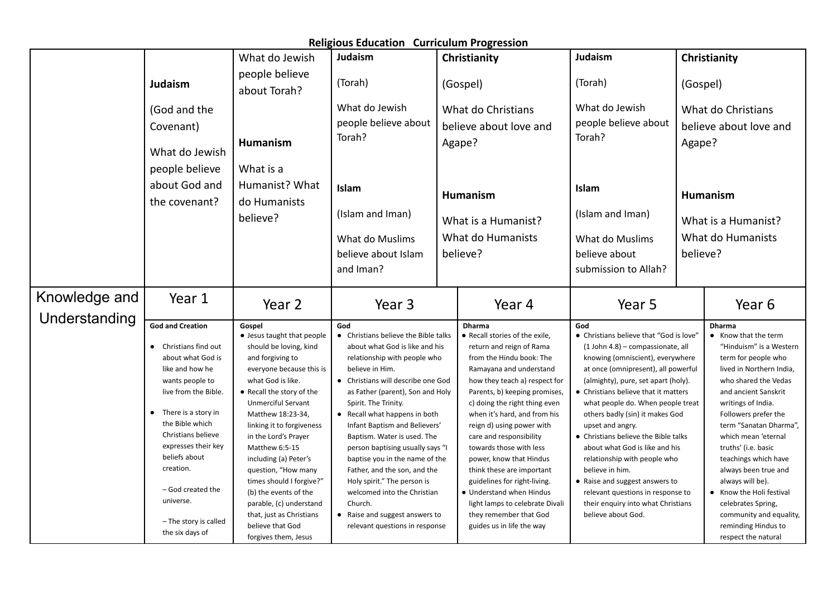|                                |                                                                                                                                                                                                                                                                                                                                          |                                                                                                                                                                                                                                                                                                                                                                                                                                                                                            | <b>Religious Education Curriculum Progression</b>                                                                                                                                                                                                                                                                                                                                                                                                                                                                                                                                      |        |                                                                                                                                                                                                                                                                                                                                                                                                                                                                                                                                                                 |                                                                                                                                                                                                                                                                                                                                                                                                                                                                                                                                                                                                           |          |                                                                                                                                                                                                                                                                                                                                                                                                                                                                                   |
|--------------------------------|------------------------------------------------------------------------------------------------------------------------------------------------------------------------------------------------------------------------------------------------------------------------------------------------------------------------------------------|--------------------------------------------------------------------------------------------------------------------------------------------------------------------------------------------------------------------------------------------------------------------------------------------------------------------------------------------------------------------------------------------------------------------------------------------------------------------------------------------|----------------------------------------------------------------------------------------------------------------------------------------------------------------------------------------------------------------------------------------------------------------------------------------------------------------------------------------------------------------------------------------------------------------------------------------------------------------------------------------------------------------------------------------------------------------------------------------|--------|-----------------------------------------------------------------------------------------------------------------------------------------------------------------------------------------------------------------------------------------------------------------------------------------------------------------------------------------------------------------------------------------------------------------------------------------------------------------------------------------------------------------------------------------------------------------|-----------------------------------------------------------------------------------------------------------------------------------------------------------------------------------------------------------------------------------------------------------------------------------------------------------------------------------------------------------------------------------------------------------------------------------------------------------------------------------------------------------------------------------------------------------------------------------------------------------|----------|-----------------------------------------------------------------------------------------------------------------------------------------------------------------------------------------------------------------------------------------------------------------------------------------------------------------------------------------------------------------------------------------------------------------------------------------------------------------------------------|
|                                |                                                                                                                                                                                                                                                                                                                                          | What do Jewish                                                                                                                                                                                                                                                                                                                                                                                                                                                                             | Judaism                                                                                                                                                                                                                                                                                                                                                                                                                                                                                                                                                                                |        | Christianity                                                                                                                                                                                                                                                                                                                                                                                                                                                                                                                                                    | Judaism                                                                                                                                                                                                                                                                                                                                                                                                                                                                                                                                                                                                   |          | Christianity                                                                                                                                                                                                                                                                                                                                                                                                                                                                      |
|                                | Judaism                                                                                                                                                                                                                                                                                                                                  | people believe<br>about Torah?                                                                                                                                                                                                                                                                                                                                                                                                                                                             | (Torah)                                                                                                                                                                                                                                                                                                                                                                                                                                                                                                                                                                                |        | (Gospel)                                                                                                                                                                                                                                                                                                                                                                                                                                                                                                                                                        | (Torah)                                                                                                                                                                                                                                                                                                                                                                                                                                                                                                                                                                                                   | (Gospel) |                                                                                                                                                                                                                                                                                                                                                                                                                                                                                   |
|                                | (God and the<br>Covenant)<br>What do Jewish<br>people believe                                                                                                                                                                                                                                                                            | Humanism<br>What is a                                                                                                                                                                                                                                                                                                                                                                                                                                                                      | What do Jewish<br>people believe about<br>Torah?                                                                                                                                                                                                                                                                                                                                                                                                                                                                                                                                       | Agape? | What do Christians<br>believe about love and                                                                                                                                                                                                                                                                                                                                                                                                                                                                                                                    | What do Jewish<br>people believe about<br>Torah?                                                                                                                                                                                                                                                                                                                                                                                                                                                                                                                                                          | Agape?   | What do Christians<br>believe about love and                                                                                                                                                                                                                                                                                                                                                                                                                                      |
|                                | about God and<br>the covenant?                                                                                                                                                                                                                                                                                                           | Humanist? What<br>do Humanists                                                                                                                                                                                                                                                                                                                                                                                                                                                             | <b>Islam</b>                                                                                                                                                                                                                                                                                                                                                                                                                                                                                                                                                                           |        | <b>Humanism</b>                                                                                                                                                                                                                                                                                                                                                                                                                                                                                                                                                 | Islam                                                                                                                                                                                                                                                                                                                                                                                                                                                                                                                                                                                                     |          | Humanism                                                                                                                                                                                                                                                                                                                                                                                                                                                                          |
|                                |                                                                                                                                                                                                                                                                                                                                          | believe?                                                                                                                                                                                                                                                                                                                                                                                                                                                                                   | (Islam and Iman)                                                                                                                                                                                                                                                                                                                                                                                                                                                                                                                                                                       |        | What is a Humanist?                                                                                                                                                                                                                                                                                                                                                                                                                                                                                                                                             | (Islam and Iman)                                                                                                                                                                                                                                                                                                                                                                                                                                                                                                                                                                                          |          | What is a Humanist?                                                                                                                                                                                                                                                                                                                                                                                                                                                               |
|                                |                                                                                                                                                                                                                                                                                                                                          |                                                                                                                                                                                                                                                                                                                                                                                                                                                                                            | What do Muslims<br>believe about Islam<br>and Iman?                                                                                                                                                                                                                                                                                                                                                                                                                                                                                                                                    |        | What do Humanists<br>believe?                                                                                                                                                                                                                                                                                                                                                                                                                                                                                                                                   | What do Muslims<br>believe about<br>submission to Allah?                                                                                                                                                                                                                                                                                                                                                                                                                                                                                                                                                  | believe? | What do Humanists                                                                                                                                                                                                                                                                                                                                                                                                                                                                 |
| Knowledge and<br>Understanding | Year 1                                                                                                                                                                                                                                                                                                                                   | Year 2                                                                                                                                                                                                                                                                                                                                                                                                                                                                                     | Year <sub>3</sub>                                                                                                                                                                                                                                                                                                                                                                                                                                                                                                                                                                      |        | Year 4                                                                                                                                                                                                                                                                                                                                                                                                                                                                                                                                                          | Year 5                                                                                                                                                                                                                                                                                                                                                                                                                                                                                                                                                                                                    |          | Year 6                                                                                                                                                                                                                                                                                                                                                                                                                                                                            |
|                                | <b>God and Creation</b><br>• Christians find out<br>about what God is<br>like and how he<br>wants people to<br>live from the Bible.<br>• There is a story in<br>the Bible which<br>Christians believe<br>expresses their key<br>beliefs about<br>creation.<br>- God created the<br>universe.<br>- The story is called<br>the six days of | Gospel<br>• Jesus taught that people<br>should be loving, kind<br>and forgiving to<br>everyone because this is<br>what God is like.<br>• Recall the story of the<br>Unmerciful Servant<br>Matthew 18:23-34,<br>linking it to forgiveness<br>in the Lord's Prayer<br>Matthew 6:5-15<br>including (a) Peter's<br>question, "How many<br>times should I forgive?"<br>(b) the events of the<br>parable, (c) understand<br>that, just as Christians<br>believe that God<br>forgives them, Jesus | God<br>• Christians believe the Bible talks<br>about what God is like and his<br>relationship with people who<br>believe in Him.<br>• Christians will describe one God<br>as Father (parent), Son and Holy<br>Spirit. The Trinity.<br>• Recall what happens in both<br>Infant Baptism and Believers'<br>Baptism. Water is used. The<br>person baptising usually says "I<br>baptise you in the name of the<br>Father, and the son, and the<br>Holy spirit." The person is<br>welcomed into the Christian<br>Church.<br>• Raise and suggest answers to<br>relevant questions in response |        | Dharma<br>• Recall stories of the exile,<br>return and reign of Rama<br>from the Hindu book: The<br>Ramayana and understand<br>how they teach a) respect for<br>Parents, b) keeping promises,<br>c) doing the right thing even<br>when it's hard, and from his<br>reign d) using power with<br>care and responsibility<br>towards those with less<br>power, know that Hindus<br>think these are important<br>guidelines for right-living.<br>• Understand when Hindus<br>light lamps to celebrate Divali<br>they remember that God<br>guides us in life the way | God<br>• Christians believe that "God is love"<br>(1 John 4.8) - compassionate, all<br>knowing (omniscient), everywhere<br>at once (omnipresent), all powerful<br>(almighty), pure, set apart (holy).<br>• Christians believe that it matters<br>what people do. When people treat<br>others badly (sin) it makes God<br>upset and angry.<br>• Christians believe the Bible talks<br>about what God is like and his<br>relationship with people who<br>believe in him.<br>• Raise and suggest answers to<br>relevant questions in response to<br>their enquiry into what Christians<br>believe about God. |          | Dharma<br>• Know that the term<br>"Hinduism" is a Western<br>term for people who<br>lived in Northern India,<br>who shared the Vedas<br>and ancient Sanskrit<br>writings of India.<br>Followers prefer the<br>term "Sanatan Dharma",<br>which mean 'eternal<br>truths' (i.e. basic<br>teachings which have<br>always been true and<br>always will be).<br>• Know the Holi festival<br>celebrates Spring,<br>community and equality,<br>reminding Hindus to<br>respect the natural |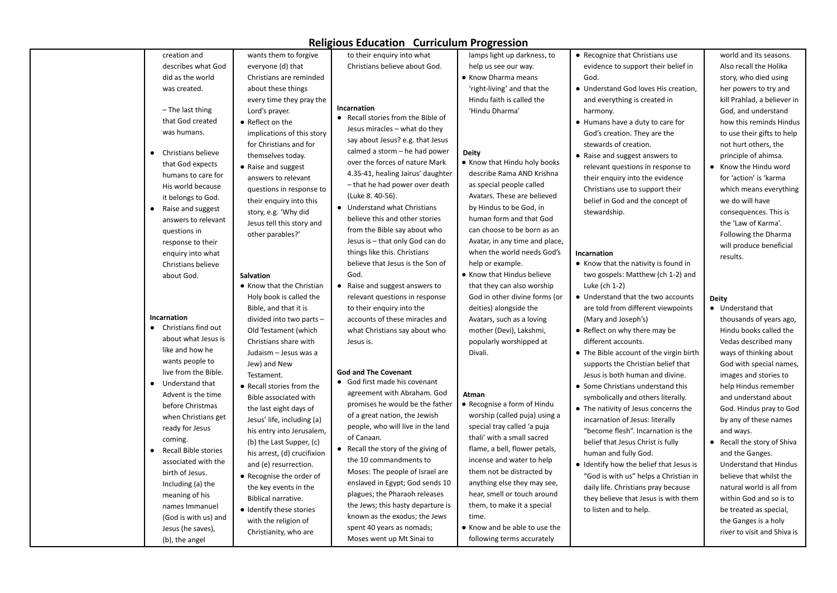|                             |                             | <b>Rengrous Eugenement Curriculum Pogression</b>  |                                |                                         |                               |
|-----------------------------|-----------------------------|---------------------------------------------------|--------------------------------|-----------------------------------------|-------------------------------|
| creation and                | wants them to forgive       | to their enquiry into what                        | lamps light up darkness, to    | • Recognize that Christians use         | world and its seasons.        |
| describes what God          | everyone (d) that           | Christians believe about God.                     | help us see our way.           | evidence to support their belief in     | Also recall the Holika        |
| did as the world            | Christians are reminded     |                                                   | • Know Dharma means            | God.                                    | story, who died using         |
| was created.                | about these things          |                                                   | 'right-living' and that the    | • Understand God loves His creation,    | her powers to try and         |
|                             | every time they pray the    |                                                   | Hindu faith is called the      | and everything is created in            | kill Prahlad, a believer in   |
| $-$ The last thing          | Lord's prayer.              | Incarnation<br>• Recall stories from the Bible of | 'Hindu Dharma'                 | harmony.                                | God, and understand           |
| that God created            | • Reflect on the            | Jesus miracles - what do they                     |                                | • Humans have a duty to care for        | how this reminds Hindus       |
| was humans.                 | implications of this story  |                                                   |                                | God's creation. They are the            | to use their gifts to help    |
|                             | for Christians and for      | say about Jesus? e.g. that Jesus                  |                                | stewards of creation.                   | not hurt others, the          |
| Christians believe          | themselves today.           | calmed a storm - he had power                     | <b>Deity</b>                   | • Raise and suggest answers to          | principle of ahimsa.          |
| that God expects            | • Raise and suggest         | over the forces of nature Mark                    | • Know that Hindu holy books   | relevant questions in response to       | • Know the Hindu word         |
| humans to care for          | answers to relevant         | 4.35-41, healing Jairus' daughter                 | describe Rama AND Krishna      | their enquiry into the evidence         | for 'action' is 'karma        |
| His world because           | questions in response to    | - that he had power over death                    | as special people called       | Christians use to support their         | which means everything        |
| it belongs to God.          | their enquiry into this     | (Luke 8. 40-56).                                  | Avatars. These are believed    | belief in God and the concept of        | we do will have               |
| Raise and suggest           | story, e.g. 'Why did        | • Understand what Christians                      | by Hindus to be God, in        | stewardship.                            | consequences. This is         |
| answers to relevant         | Jesus tell this story and   | believe this and other stories                    | human form and that God        |                                         | the 'Law of Karma'.           |
| questions in                | other parables?'            | from the Bible say about who                      | can choose to be born as an    |                                         | Following the Dharma          |
| response to their           |                             | Jesus is - that only God can do                   | Avatar, in any time and place, |                                         | will produce beneficial       |
| enquiry into what           |                             | things like this. Christians                      | when the world needs God's     | Incarnation                             | results.                      |
| Christians believe          |                             | believe that Jesus is the Son of                  | help or example.               | • Know that the nativity is found in    |                               |
| about God.                  | Salvation                   | God.                                              | • Know that Hindus believe     | two gospels: Matthew (ch 1-2) and       |                               |
|                             | • Know that the Christian   | Raise and suggest answers to                      | that they can also worship     | Luke (ch 1-2)                           |                               |
|                             | Holy book is called the     | relevant questions in response                    | God in other divine forms (or  | • Understand that the two accounts      | <b>Deity</b>                  |
|                             | Bible, and that it is       | to their enquiry into the                         | deities) alongside the         | are told from different viewpoints      | • Understand that             |
| Incarnation                 | divided into two parts -    | accounts of these miracles and                    | Avatars, such as a loving      | (Mary and Joseph's)                     | thousands of years ago,       |
| • Christians find out       | Old Testament (which        | what Christians say about who                     | mother (Devi), Lakshmi,        | • Reflect on why there may be           | Hindu books called the        |
| about what Jesus is         | Christians share with       | Jesus is.                                         | popularly worshipped at        | different accounts.                     | Vedas described many          |
| like and how he             | Judaism - Jesus was a       |                                                   | Divali.                        | • The Bible account of the virgin birth | ways of thinking about        |
| wants people to             | Jew) and New                |                                                   |                                | supports the Christian belief that      | God with special names,       |
| live from the Bible.        | Testament.                  | <b>God and The Covenant</b>                       |                                | Jesus is both human and divine.         | images and stories to         |
| Understand that             | • Recall stories from the   | • God first made his covenant                     |                                | • Some Christians understand this       | help Hindus remember          |
| Advent is the time          | Bible associated with       | agreement with Abraham. God                       | Atman                          | symbolically and others literally.      | and understand about          |
| before Christmas            | the last eight days of      | promises he would be the father                   | • Recognise a form of Hindu    | • The nativity of Jesus concerns the    | God. Hindus pray to God       |
| when Christians get         | Jesus' life, including (a)  | of a great nation, the Jewish                     | worship (called puja) using a  | incarnation of Jesus: literally         | by any of these names         |
| ready for Jesus             | his entry into Jerusalem,   | people, who will live in the land                 | special tray called 'a puja    | "become flesh". Incarnation is the      | and ways.                     |
| coming.                     | (b) the Last Supper, (c)    | of Canaan.                                        | thali' with a small sacred     | belief that Jesus Christ is fully       | • Recall the story of Shiva   |
| <b>Recall Bible stories</b> | his arrest, (d) crucifixion | • Recall the story of the giving of               | flame, a bell, flower petals,  | human and fully God.                    | and the Ganges.               |
| associated with the         | and (e) resurrection.       | the 10 commandments to                            | incense and water to help      | • Identify how the belief that Jesus is | <b>Understand that Hindus</b> |
| birth of Jesus.             | • Recognise the order of    | Moses: The people of Israel are                   | them not be distracted by      | "God is with us" helps a Christian in   | believe that whilst the       |
| Including (a) the           | the key events in the       | enslaved in Egypt; God sends 10                   | anything else they may see,    | daily life. Christians pray because     | natural world is all from     |
| meaning of his              | Biblical narrative.         | plagues; the Pharaoh releases                     | hear, smell or touch around    | they believe that Jesus is with them    | within God and so is to       |
| names Immanuel              | • Identify these stories    | the Jews; this hasty departure is                 | them, to make it a special     | to listen and to help.                  | be treated as special,        |
| (God is with us) and        | with the religion of        | known as the exodus; the Jews                     | time.                          |                                         | the Ganges is a holy          |
| Jesus (he saves),           |                             | spent 40 years as nomads;                         | • Know and be able to use the  |                                         |                               |
| (b), the angel              | Christianity, who are       | Moses went up Mt Sinai to                         | following terms accurately     |                                         | river to visit and Shiva is   |
|                             |                             |                                                   |                                |                                         |                               |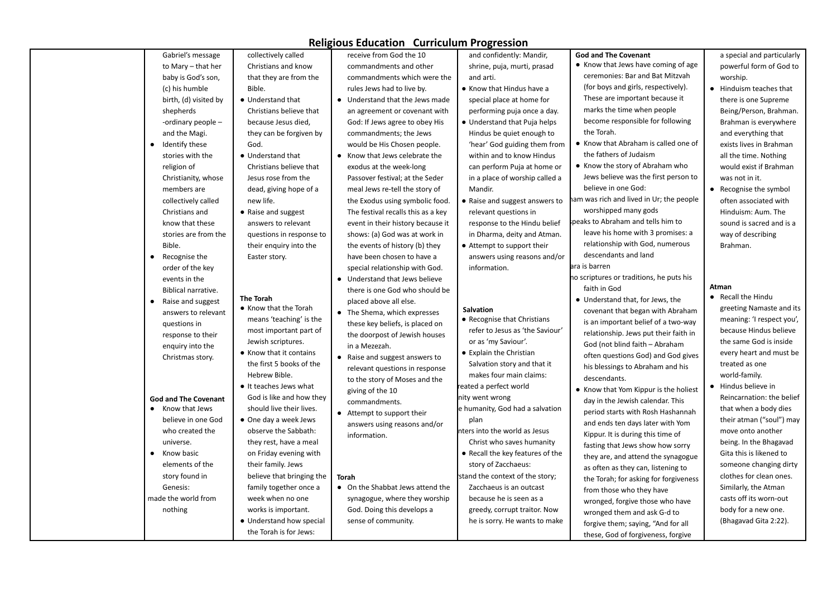| Gabriel's message              | collectively called       | receive from God the 10            | and confidently: Mandir,         | <b>God and The Covenant</b>              | a special and particularly |
|--------------------------------|---------------------------|------------------------------------|----------------------------------|------------------------------------------|----------------------------|
| to Mary - that her             | Christians and know       | commandments and other             | shrine, puja, murti, prasad      | • Know that Jews have coming of age      | powerful form of God to    |
| baby is God's son,             | that they are from the    | commandments which were the        | and arti.                        | ceremonies: Bar and Bat Mitzvah          | worship.                   |
| (c) his humble                 | Bible.                    | rules Jews had to live by.         | • Know that Hindus have a        | (for boys and girls, respectively).      | • Hinduism teaches that    |
| birth, (d) visited by          | • Understand that         | • Understand that the Jews made    | special place at home for        | These are important because it           | there is one Supreme       |
| shepherds                      | Christians believe that   | an agreement or covenant with      | performing puja once a day.      | marks the time when people               | Being/Person, Brahman.     |
| -ordinary people -             | because Jesus died,       | God: If Jews agree to obey His     | • Understand that Puja helps     | become responsible for following         | Brahman is everywhere      |
| and the Magi.                  | they can be forgiven by   | commandments; the Jews             | Hindus be quiet enough to        | the Torah.                               | and everything that        |
| Identify these<br>$\bullet$    | God.                      | would be His Chosen people.        | 'hear' God guiding them from     | • Know that Abraham is called one of     | exists lives in Brahman    |
| stories with the               | • Understand that         | • Know that Jews celebrate the     | within and to know Hindus        | the fathers of Judaism                   | all the time. Nothing      |
| religion of                    | Christians believe that   | exodus at the week-long            | can perform Puja at home or      | • Know the story of Abraham who          | would exist if Brahman     |
| Christianity, whose            | Jesus rose from the       | Passover festival; at the Seder    | in a place of worship called a   | Jews believe was the first person to     | was not in it.             |
| members are                    | dead, giving hope of a    | meal Jews re-tell the story of     | Mandir.                          | believe in one God:                      | • Recognise the symbol     |
| collectively called            | new life.                 | the Exodus using symbolic food.    | • Raise and suggest answers to   | ham was rich and lived in Ur; the people | often associated with      |
| Christians and                 | • Raise and suggest       | The festival recalls this as a key | relevant questions in            | worshipped many gods                     | Hinduism: Aum. The         |
| know that these                | answers to relevant       | event in their history because it  | response to the Hindu belief     | peaks to Abraham and tells him to        | sound is sacred and is a   |
| stories are from the           | questions in response to  | shows: (a) God was at work in      | in Dharma, deity and Atman.      | leave his home with 3 promises: a        | way of describing          |
| Bible.                         | their enquiry into the    | the events of history (b) they     | • Attempt to support their       | relationship with God, numerous          | Brahman.                   |
| Recognise the<br>$\bullet$     | Easter story.             | have been chosen to have a         | answers using reasons and/or     | descendants and land                     |                            |
| order of the key               |                           | special relationship with God.     | information.                     | ara is barren                            |                            |
| events in the                  |                           | • Understand that Jews believe     |                                  | no scriptures or traditions, he puts his |                            |
| Biblical narrative.            |                           | there is one God who should be     |                                  | faith in God                             | Atman                      |
| Raise and suggest<br>$\bullet$ | <b>The Torah</b>          | placed above all else.             |                                  | • Understand that, for Jews, the         | • Recall the Hindu         |
| answers to relevant            | • Know that the Torah     | • The Shema, which expresses       | Salvation                        | covenant that began with Abraham         | greeting Namaste and its   |
| questions in                   | means 'teaching' is the   | these key beliefs, is placed on    | • Recognise that Christians      | is an important belief of a two-way      | meaning: 'I respect you',  |
| response to their              | most important part of    | the doorpost of Jewish houses      | refer to Jesus as 'the Saviour'  | relationship. Jews put their faith in    | because Hindus believe     |
| enquiry into the               | Jewish scriptures.        | in a Mezezah.                      | or as 'my Saviour'.              | God (not blind faith - Abraham           | the same God is inside     |
| Christmas story.               | • Know that it contains   | • Raise and suggest answers to     | • Explain the Christian          | often questions God) and God gives       | every heart and must be    |
|                                | the first 5 books of the  | relevant questions in response     | Salvation story and that it      | his blessings to Abraham and his         | treated as one             |
|                                | Hebrew Bible.             | to the story of Moses and the      | makes four main claims:          | descendants.                             | world-family.              |
|                                | • It teaches Jews what    | giving of the 10                   | reated a perfect world           | • Know that Yom Kippur is the holiest    | • Hindus believe in        |
| <b>God and The Covenant</b>    | God is like and how they  | commandments.                      | nity went wrong                  | day in the Jewish calendar. This         | Reincarnation: the belief  |
| Know that Jews<br>$\bullet$    | should live their lives.  | • Attempt to support their         | e humanity, God had a salvation  | period starts with Rosh Hashannah        | that when a body dies      |
| believe in one God             | • One day a week Jews     | answers using reasons and/or       | plan                             | and ends ten days later with Yom         | their atman ("soul") may   |
| who created the                | observe the Sabbath:      | information.                       | nters into the world as Jesus    | Kippur. It is during this time of        | move onto another          |
| universe.                      | they rest, have a meal    |                                    | Christ who saves humanity        | fasting that Jews show how sorry         | being. In the Bhagavad     |
| Know basic<br>$\bullet$        | on Friday evening with    |                                    | • Recall the key features of the | they are, and attend the synagogue       | Gita this is likened to    |
| elements of the                | their family. Jews        |                                    | story of Zacchaeus:              | as often as they can, listening to       | someone changing dirty     |
| story found in                 | believe that bringing the | Torah                              | stand the context of the story;  | the Torah; for asking for forgiveness    | clothes for clean ones.    |
| Genesis:                       | family together once a    | • On the Shabbat Jews attend the   | Zacchaeus is an outcast          | from those who they have                 | Similarly, the Atman       |
| made the world from            | week when no one          | synagogue, where they worship      | because he is seen as a          | wronged, forgive those who have          | casts off its worn-out     |
| nothing                        | works is important.       | God. Doing this develops a         | greedy, corrupt traitor. Now     | wronged them and ask G-d to              | body for a new one.        |
|                                | • Understand how special  | sense of community.                | he is sorry. He wants to make    | forgive them; saying, "And for all       | (Bhagavad Gita 2:22).      |
|                                | the Torah is for Jews:    |                                    |                                  |                                          |                            |
|                                |                           |                                    |                                  | these, God of forgiveness, forgive       |                            |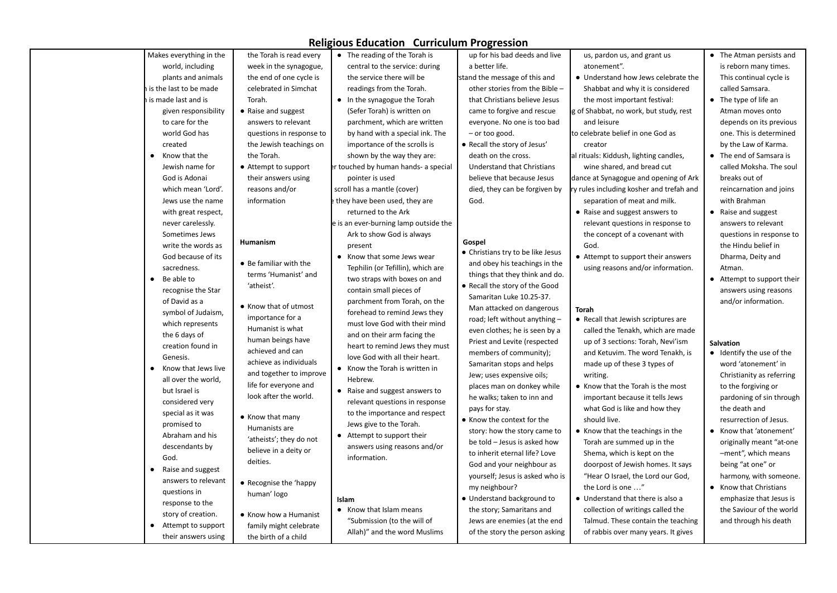| Makes everything in the    | the Torah is read every  | • The reading of the Torah is         | up for his bad deeds and live     | us, pardon us, and grant us              | • The Atman persists and   |
|----------------------------|--------------------------|---------------------------------------|-----------------------------------|------------------------------------------|----------------------------|
| world, including           | week in the synagogue,   | central to the service: during        | a better life.                    | atonement".                              | is reborn many times.      |
| plants and animals         | the end of one cycle is  | the service there will be             | stand the message of this and     | • Understand how Jews celebrate the      | This continual cycle is    |
| is the last to be made     | celebrated in Simchat    | readings from the Torah.              | other stories from the Bible -    | Shabbat and why it is considered         | called Samsara.            |
| i is made last and is      | Torah.                   | • In the synagogue the Torah          | that Christians believe Jesus     | the most important festival:             | • The type of life an      |
| given responsibility       | • Raise and suggest      | (Sefer Torah) is written on           | came to forgive and rescue        | g of Shabbat, no work, but study, rest   | Atman moves onto           |
| to care for the            | answers to relevant      | parchment, which are written          | everyone. No one is too bad       | and leisure                              | depends on its previous    |
| world God has              | questions in response to | by hand with a special ink. The       | $-$ or too good.                  | to celebrate belief in one God as        | one. This is determined    |
| created                    | the Jewish teachings on  | importance of the scrolls is          | • Recall the story of Jesus'      | creator                                  | by the Law of Karma.       |
| Know that the<br>$\bullet$ | the Torah.               | shown by the way they are:            | death on the cross.               | al rituals: Kiddush, lighting candles,   | • The end of Samsara is    |
| Jewish name for            | • Attempt to support     | er touched by human hands- a special  | <b>Understand that Christians</b> | wine shared, and bread cut               | called Moksha. The soul    |
| God is Adonai              | their answers using      | pointer is used                       | believe that because Jesus        | dance at Synagogue and opening of Ark    | breaks out of              |
| which mean 'Lord'.         | reasons and/or           | scroll has a mantle (cover)           | died, they can be forgiven by     | ry rules including kosher and trefah and | reincarnation and joins    |
| Jews use the name          | information              | they have been used, they are         | God.                              | separation of meat and milk.             | with Brahman               |
| with great respect,        |                          | returned to the Ark                   |                                   | • Raise and suggest answers to           | • Raise and suggest        |
| never carelessly.          |                          | e is an ever-burning lamp outside the |                                   | relevant questions in response to        | answers to relevant        |
| Sometimes Jews             |                          | Ark to show God is always             |                                   | the concept of a covenant with           | questions in response to   |
| write the words as         | Humanism                 | present                               | Gospel                            | God.                                     | the Hindu belief in        |
| God because of its         |                          | • Know that some Jews wear            | • Christians try to be like Jesus | • Attempt to support their answers       | Dharma, Deity and          |
| sacredness.                | • Be familiar with the   | Tephilin (or Tefillin), which are     | and obey his teachings in the     | using reasons and/or information.        | Atman.                     |
| Be able to                 | terms 'Humanist' and     | two straps with boxes on and          | things that they think and do.    |                                          | • Attempt to support their |
| recognise the Star         | 'atheist'.               | contain small pieces of               | • Recall the story of the Good    |                                          | answers using reasons      |
| of David as a              |                          | parchment from Torah, on the          | Samaritan Luke 10.25-37.          |                                          | and/or information.        |
| symbol of Judaism,         | • Know that of utmost    | forehead to remind Jews they          | Man attacked on dangerous         | <b>Torah</b>                             |                            |
| which represents           | importance for a         | must love God with their mind         | road; left without anything -     | • Recall that Jewish scriptures are      |                            |
| the 6 days of              | Humanist is what         | and on their arm facing the           | even clothes; he is seen by a     | called the Tenakh, which are made        |                            |
| creation found in          | human beings have        | heart to remind Jews they must        | Priest and Levite (respected      | up of 3 sections: Torah, Nevi'ism        | <b>Salvation</b>           |
| Genesis.                   | achieved and can         | love God with all their heart.        | members of community);            | and Ketuvim. The word Tenakh, is         | • Identify the use of the  |
| Know that Jews live        | achieve as individuals   | • Know the Torah is written in        | Samaritan stops and helps         | made up of these 3 types of              | word 'atonement' in        |
| all over the world,        | and together to improve  | Hebrew.                               | Jew; uses expensive oils;         | writing.                                 | Christianity as referring  |
| but Israel is              | life for everyone and    | • Raise and suggest answers to        | places man on donkey while        | • Know that the Torah is the most        | to the forgiving or        |
| considered very            | look after the world.    | relevant questions in response        | he walks; taken to inn and        | important because it tells Jews          | pardoning of sin through   |
| special as it was          |                          | to the importance and respect         | pays for stay.                    | what God is like and how they            | the death and              |
| promised to                | • Know that many         | Jews give to the Torah.               | • Know the context for the        | should live.                             | resurrection of Jesus.     |
| Abraham and his            | Humanists are            | • Attempt to support their            | story: how the story came to      | • Know that the teachings in the         | • Know that 'atonement'    |
| descendants by             | 'atheists'; they do not  | answers using reasons and/or          | be told - Jesus is asked how      | Torah are summed up in the               | originally meant "at-one   |
| God.                       | believe in a deity or    | information.                          | to inherit eternal life? Love     | Shema, which is kept on the              | -ment", which means        |
| Raise and suggest          | deities.                 |                                       | God and your neighbour as         | doorpost of Jewish homes. It says        | being "at one" or          |
| answers to relevant        | • Recognise the 'happy   |                                       | yourself; Jesus is asked who is   | "Hear O Israel, the Lord our God,        | harmony, with someone.     |
| questions in               | human' logo              |                                       | my neighbour?                     | the Lord is one "                        | • Know that Christians     |
| response to the            |                          | Islam                                 | • Understand background to        | • Understand that there is also a        | emphasize that Jesus is    |
| story of creation.         | • Know how a Humanist    | • Know that Islam means               | the story; Samaritans and         | collection of writings called the        | the Saviour of the world   |
| Attempt to support         | family might celebrate   | "Submission (to the will of           | Jews are enemies (at the end      | Talmud. These contain the teaching       | and through his death      |
| their answers using        | the birth of a child     | Allah)" and the word Muslims          | of the story the person asking    | of rabbis over many years. It gives      |                            |
|                            |                          |                                       |                                   |                                          |                            |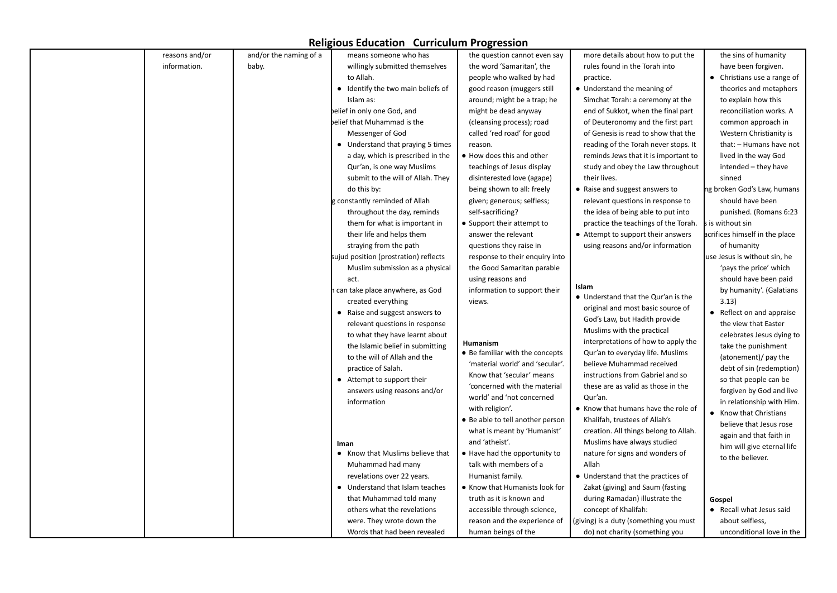| reasons and/or | and/or the naming of a | means someone who has                    | the question cannot even say     | more details about how to put the      | the sins of humanity           |
|----------------|------------------------|------------------------------------------|----------------------------------|----------------------------------------|--------------------------------|
| information.   | baby.                  | willingly submitted themselves           | the word 'Samaritan', the        | rules found in the Torah into          | have been forgiven.            |
|                |                        | to Allah.                                | people who walked by had         | practice.                              | • Christians use a range of    |
|                |                        | • Identify the two main beliefs of       | good reason (muggers still       | • Understand the meaning of            | theories and metaphors         |
|                |                        | Islam as:                                | around; might be a trap; he      | Simchat Torah: a ceremony at the       | to explain how this            |
|                |                        | elief in only one God, and               | might be dead anyway             | end of Sukkot, when the final part     | reconciliation works. A        |
|                |                        | belief that Muhammad is the              | (cleansing process); road        | of Deuteronomy and the first part      | common approach in             |
|                |                        | Messenger of God                         | called 'red road' for good       | of Genesis is read to show that the    | Western Christianity is        |
|                |                        | • Understand that praying 5 times        | reason.                          | reading of the Torah never stops. It   | that: - Humans have not        |
|                |                        | a day, which is prescribed in the        | • How does this and other        | reminds Jews that it is important to   | lived in the way God           |
|                |                        | Qur'an, is one way Muslims               | teachings of Jesus display       | study and obey the Law throughout      | intended - they have           |
|                |                        | submit to the will of Allah. They        |                                  | their lives.                           | sinned                         |
|                |                        |                                          | disinterested love (agape)       |                                        |                                |
|                |                        | do this by:                              | being shown to all: freely       | • Raise and suggest answers to         | ng broken God's Law, humans    |
|                |                        | gconstantly reminded of Allah            | given; generous; selfless;       | relevant questions in response to      | should have been               |
|                |                        | throughout the day, reminds              | self-sacrificing?                | the idea of being able to put into     | punished. (Romans 6:23         |
|                |                        | them for what is important in            | • Support their attempt to       | practice the teachings of the Torah.   | s is without sin               |
|                |                        | their life and helps them                | answer the relevant              | • Attempt to support their answers     | acrifices himself in the place |
|                |                        | straying from the path                   | questions they raise in          | using reasons and/or information       | of humanity                    |
|                |                        | sujud position (prostration) reflects    | response to their enquiry into   |                                        | use Jesus is without sin, he   |
|                |                        | Muslim submission as a physical          | the Good Samaritan parable       |                                        | 'pays the price' which         |
|                |                        | act.                                     | using reasons and                | Islam                                  | should have been paid          |
|                |                        | can take place anywhere, as God          | information to support their     | • Understand that the Qur'an is the    | by humanity'. (Galatians       |
|                |                        | created everything                       | views.                           | original and most basic source of      | 3.13)                          |
|                |                        | • Raise and suggest answers to           |                                  | God's Law, but Hadith provide          | • Reflect on and appraise      |
|                |                        | relevant questions in response           |                                  | Muslims with the practical             | the view that Easter           |
|                |                        | to what they have learnt about           | Humanism                         | interpretations of how to apply the    | celebrates Jesus dying to      |
|                |                        | the Islamic belief in submitting         | • Be familiar with the concepts  | Qur'an to everyday life. Muslims       | take the punishment            |
|                |                        | to the will of Allah and the             | 'material world' and 'secular'.  | believe Muhammad received              | (atonement)/ pay the           |
|                |                        | practice of Salah.                       | Know that 'secular' means        | instructions from Gabriel and so       | debt of sin (redemption)       |
|                |                        | • Attempt to support their               | 'concerned with the material     | these are as valid as those in the     | so that people can be          |
|                |                        | answers using reasons and/or             | world' and 'not concerned        | Qur'an.                                | forgiven by God and live       |
|                |                        | information                              | with religion'.                  | • Know that humans have the role of    | in relationship with Him.      |
|                |                        |                                          | • Be able to tell another person | Khalifah, trustees of Allah's          | Know that Christians           |
|                |                        |                                          | what is meant by 'Humanist'      | creation. All things belong to Allah.  | believe that Jesus rose        |
|                |                        |                                          | and 'atheist'.                   | Muslims have always studied            | again and that faith in        |
|                |                        | Iman<br>• Know that Muslims believe that | . Have had the opportunity to    | nature for signs and wonders of        | him will give eternal life     |
|                |                        | Muhammad had many                        | talk with members of a           | Allah                                  | to the believer.               |
|                |                        | revelations over 22 years.               | Humanist family.                 | • Understand that the practices of     |                                |
|                |                        | Understand that Islam teaches            | • Know that Humanists look for   | Zakat (giving) and Saum (fasting       |                                |
|                |                        |                                          |                                  |                                        |                                |
|                |                        | that Muhammad told many                  | truth as it is known and         | during Ramadan) illustrate the         | Gospel                         |
|                |                        | others what the revelations              | accessible through science,      | concept of Khalifah:                   | • Recall what Jesus said       |
|                |                        | were. They wrote down the                | reason and the experience of     | (giving) is a duty (something you must | about selfless,                |
|                |                        | Words that had been revealed             | human beings of the              | do) not charity (something you         | unconditional love in the      |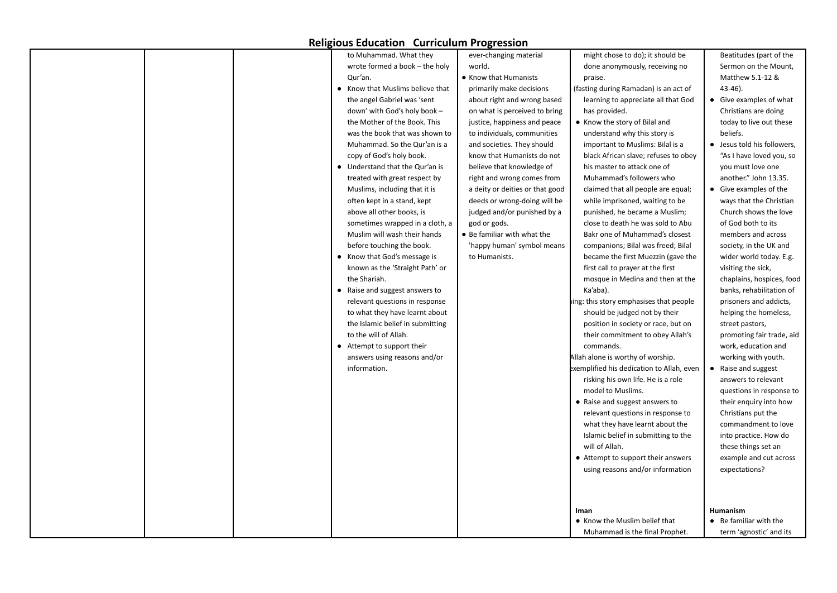|  | to Muhammad. What they           | ever-changing material          | might chose to do); it should be          | Beatitudes (part of the     |
|--|----------------------------------|---------------------------------|-------------------------------------------|-----------------------------|
|  | wrote formed a book – the holy   | world.                          | done anonymously, receiving no            | Sermon on the Mount,        |
|  | Qur'an.                          | • Know that Humanists           | praise.                                   | Matthew 5.1-12 &            |
|  | Know that Muslims believe that   | primarily make decisions        | (fasting during Ramadan) is an act of     | 43-46).                     |
|  | the angel Gabriel was 'sent      | about right and wrong based     | learning to appreciate all that God       | • Give examples of what     |
|  | down' with God's holy book -     | on what is perceived to bring   | has provided.                             | Christians are doing        |
|  | the Mother of the Book. This     | justice, happiness and peace    | • Know the story of Bilal and             | today to live out these     |
|  | was the book that was shown to   | to individuals, communities     | understand why this story is              | beliefs.                    |
|  | Muhammad. So the Qur'an is a     | and societies. They should      | important to Muslims: Bilal is a          | • Jesus told his followers, |
|  | copy of God's holy book.         | know that Humanists do not      | black African slave; refuses to obey      | "As I have loved you, so    |
|  | • Understand that the Qur'an is  | believe that knowledge of       | his master to attack one of               | you must love one           |
|  | treated with great respect by    | right and wrong comes from      | Muhammad's followers who                  | another." John 13.35.       |
|  | Muslims, including that it is    | a deity or deities or that good | claimed that all people are equal;        | • Give examples of the      |
|  | often kept in a stand, kept      | deeds or wrong-doing will be    | while imprisoned, waiting to be           | ways that the Christian     |
|  | above all other books, is        | judged and/or punished by a     | punished, he became a Muslim;             | Church shows the love       |
|  | sometimes wrapped in a cloth, a  | god or gods.                    | close to death he was sold to Abu         | of God both to its          |
|  | Muslim will wash their hands     | • Be familiar with what the     | Bakr one of Muhammad's closest            | members and across          |
|  | before touching the book.        | 'happy human' symbol means      | companions; Bilal was freed; Bilal        | society, in the UK and      |
|  | Know that God's message is       | to Humanists.                   | became the first Muezzin (gave the        | wider world today. E.g.     |
|  | known as the 'Straight Path' or  |                                 | first call to prayer at the first         | visiting the sick,          |
|  | the Shariah.                     |                                 | mosque in Medina and then at the          | chaplains, hospices, food   |
|  | Raise and suggest answers to     |                                 | Ka'aba).                                  | banks, rehabilitation of    |
|  | relevant questions in response   |                                 | ing: this story emphasises that people    | prisoners and addicts,      |
|  | to what they have learnt about   |                                 | should be judged not by their             | helping the homeless,       |
|  | the Islamic belief in submitting |                                 | position in society or race, but on       | street pastors,             |
|  | to the will of Allah.            |                                 | their commitment to obey Allah's          | promoting fair trade, aid   |
|  | • Attempt to support their       |                                 | commands.                                 | work, education and         |
|  | answers using reasons and/or     |                                 | Allah alone is worthy of worship.         | working with youth.         |
|  | information.                     |                                 | exemplified his dedication to Allah, even | Raise and suggest           |
|  |                                  |                                 | risking his own life. He is a role        | answers to relevant         |
|  |                                  |                                 | model to Muslims.                         | questions in response to    |
|  |                                  |                                 | • Raise and suggest answers to            | their enguiry into how      |
|  |                                  |                                 | relevant questions in response to         | Christians put the          |
|  |                                  |                                 | what they have learnt about the           | commandment to love         |
|  |                                  |                                 | Islamic belief in submitting to the       | into practice. How do       |
|  |                                  |                                 | will of Allah.                            | these things set an         |
|  |                                  |                                 | • Attempt to support their answers        | example and cut across      |
|  |                                  |                                 | using reasons and/or information          | expectations?               |
|  |                                  |                                 |                                           |                             |
|  |                                  |                                 |                                           |                             |
|  |                                  |                                 |                                           |                             |
|  |                                  |                                 | Iman                                      | <b>Humanism</b>             |
|  |                                  |                                 | • Know the Muslim belief that             | • Be familiar with the      |
|  |                                  |                                 | Muhammad is the final Prophet.            | term 'agnostic' and its     |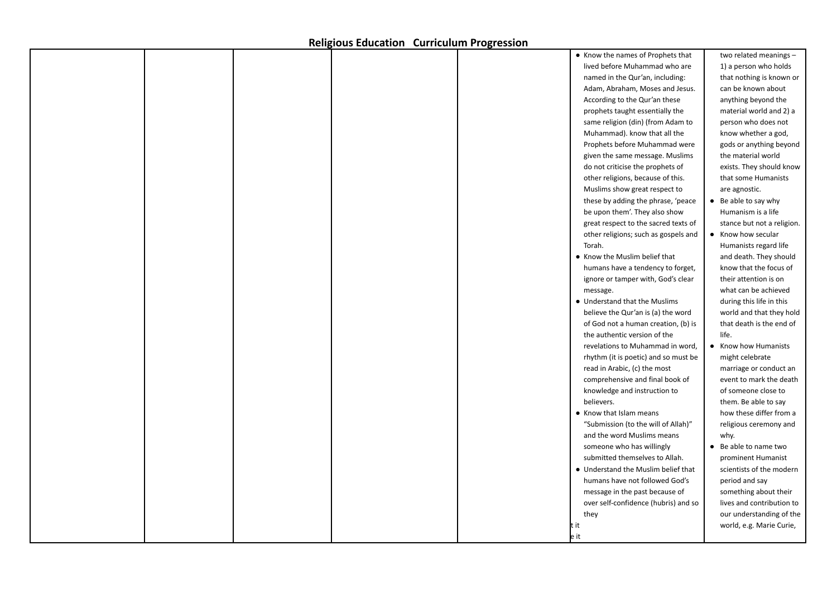|  |  | • Know the names of Prophets that    | two related meanings -     |
|--|--|--------------------------------------|----------------------------|
|  |  | lived before Muhammad who are        | 1) a person who holds      |
|  |  | named in the Qur'an, including:      | that nothing is known or   |
|  |  | Adam, Abraham, Moses and Jesus.      | can be known about         |
|  |  | According to the Qur'an these        | anything beyond the        |
|  |  | prophets taught essentially the      | material world and 2) a    |
|  |  | same religion (din) (from Adam to    | person who does not        |
|  |  | Muhammad). know that all the         | know whether a god,        |
|  |  | Prophets before Muhammad were        | gods or anything beyond    |
|  |  | given the same message. Muslims      | the material world         |
|  |  | do not criticise the prophets of     | exists. They should know   |
|  |  | other religions, because of this.    | that some Humanists        |
|  |  | Muslims show great respect to        | are agnostic.              |
|  |  | these by adding the phrase, 'peace   | • Be able to say why       |
|  |  | be upon them'. They also show        | Humanism is a life         |
|  |  | great respect to the sacred texts of | stance but not a religion. |
|  |  | other religions; such as gospels and | • Know how secular         |
|  |  | Torah.                               | Humanists regard life      |
|  |  | • Know the Muslim belief that        | and death. They should     |
|  |  | humans have a tendency to forget,    | know that the focus of     |
|  |  | ignore or tamper with, God's clear   | their attention is on      |
|  |  | message.                             | what can be achieved       |
|  |  | • Understand that the Muslims        |                            |
|  |  |                                      | during this life in this   |
|  |  | believe the Qur'an is (a) the word   | world and that they hold   |
|  |  | of God not a human creation, (b) is  | that death is the end of   |
|  |  | the authentic version of the         | life.                      |
|  |  | revelations to Muhammad in word,     | • Know how Humanists       |
|  |  | rhythm (it is poetic) and so must be | might celebrate            |
|  |  | read in Arabic, (c) the most         | marriage or conduct an     |
|  |  | comprehensive and final book of      | event to mark the death    |
|  |  | knowledge and instruction to         | of someone close to        |
|  |  | believers.                           | them. Be able to say       |
|  |  | • Know that Islam means              | how these differ from a    |
|  |  | "Submission (to the will of Allah)"  | religious ceremony and     |
|  |  | and the word Muslims means           | why.                       |
|  |  | someone who has willingly            | • Be able to name two      |
|  |  | submitted themselves to Allah.       | prominent Humanist         |
|  |  | • Understand the Muslim belief that  | scientists of the modern   |
|  |  | humans have not followed God's       | period and say             |
|  |  | message in the past because of       | something about their      |
|  |  | over self-confidence (hubris) and so | lives and contribution to  |
|  |  | they                                 | our understanding of the   |
|  |  | it                                   | world, e.g. Marie Curie,   |
|  |  | le it                                |                            |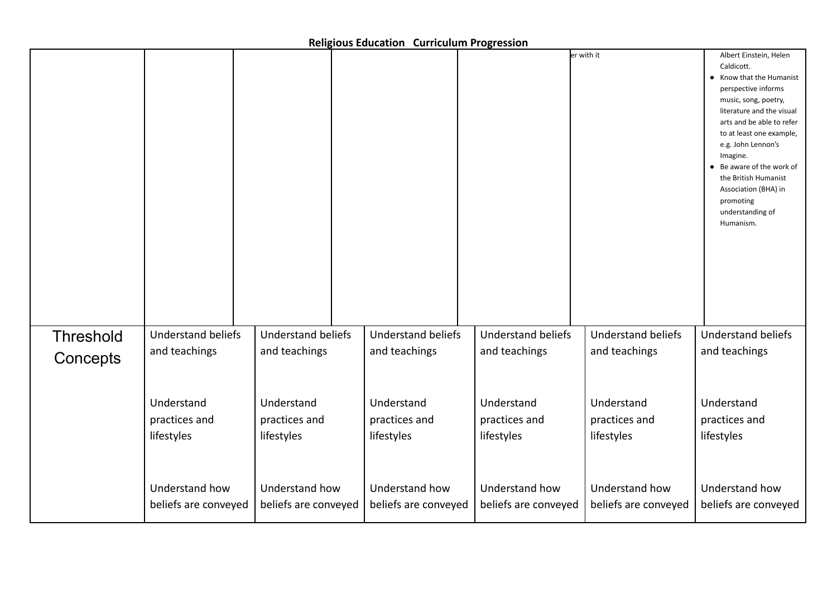|                  |                                                             |                                                             |                                                             |                                                             | er with it                                                  | Albert Einstein, Helen<br>Caldicott.<br>Know that the Humanist<br>perspective informs<br>music, song, poetry,<br>literature and the visual<br>arts and be able to refer<br>to at least one example,<br>e.g. John Lennon's<br>Imagine.<br>Be aware of the work of<br>the British Humanist<br>Association (BHA) in<br>promoting<br>understanding of<br>Humanism. |
|------------------|-------------------------------------------------------------|-------------------------------------------------------------|-------------------------------------------------------------|-------------------------------------------------------------|-------------------------------------------------------------|----------------------------------------------------------------------------------------------------------------------------------------------------------------------------------------------------------------------------------------------------------------------------------------------------------------------------------------------------------------|
| <b>Threshold</b> | <b>Understand beliefs</b>                                   | <b>Understand beliefs</b>                                   | <b>Understand beliefs</b>                                   | <b>Understand beliefs</b>                                   | <b>Understand beliefs</b>                                   | <b>Understand beliefs</b>                                                                                                                                                                                                                                                                                                                                      |
|                  | and teachings                                               | and teachings                                               | and teachings                                               | and teachings                                               | and teachings                                               | and teachings                                                                                                                                                                                                                                                                                                                                                  |
| Concepts         | Understand<br>practices and<br>lifestyles<br>Understand how | Understand<br>practices and<br>lifestyles<br>Understand how | Understand<br>practices and<br>lifestyles<br>Understand how | Understand<br>practices and<br>lifestyles<br>Understand how | Understand<br>practices and<br>lifestyles<br>Understand how | Understand<br>practices and<br>lifestyles<br>Understand how                                                                                                                                                                                                                                                                                                    |
|                  | beliefs are conveyed                                        | beliefs are conveyed                                        | beliefs are conveyed                                        | beliefs are conveyed                                        | beliefs are conveyed                                        | beliefs are conveyed                                                                                                                                                                                                                                                                                                                                           |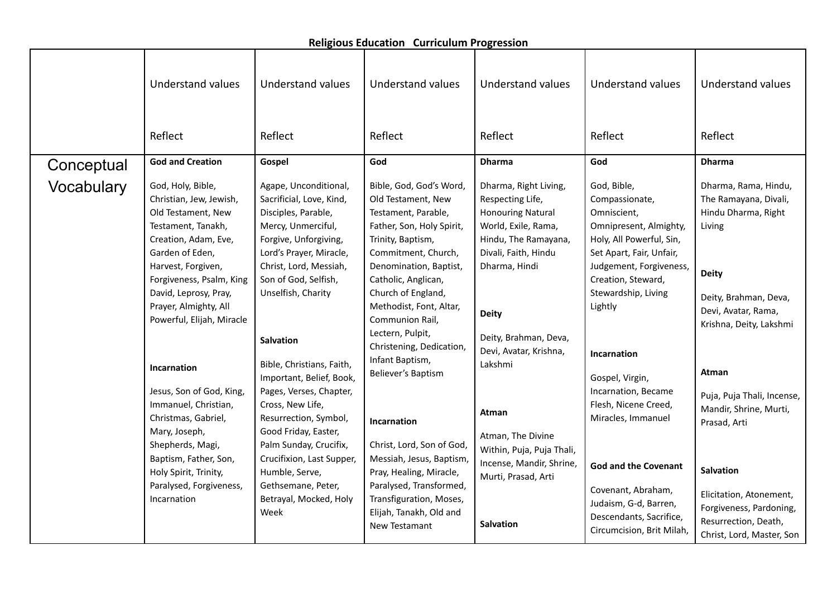|  | <b>Religious Education Curriculum Progression</b> |
|--|---------------------------------------------------|
|--|---------------------------------------------------|

|            | <b>Understand values</b>                                                                                                                                                                                                                                                                   | <b>Understand values</b>                                                                                                                                                                                                                                                    | <b>Understand values</b>                                                                                                                                                                                                                                                                                                                                    | <b>Understand values</b>                                                                                                                                                                                                                    | <b>Understand values</b>                                                                                                                                                                                                                | Understand values                                                                                                                                                                                   |
|------------|--------------------------------------------------------------------------------------------------------------------------------------------------------------------------------------------------------------------------------------------------------------------------------------------|-----------------------------------------------------------------------------------------------------------------------------------------------------------------------------------------------------------------------------------------------------------------------------|-------------------------------------------------------------------------------------------------------------------------------------------------------------------------------------------------------------------------------------------------------------------------------------------------------------------------------------------------------------|---------------------------------------------------------------------------------------------------------------------------------------------------------------------------------------------------------------------------------------------|-----------------------------------------------------------------------------------------------------------------------------------------------------------------------------------------------------------------------------------------|-----------------------------------------------------------------------------------------------------------------------------------------------------------------------------------------------------|
|            | Reflect                                                                                                                                                                                                                                                                                    | Reflect                                                                                                                                                                                                                                                                     | Reflect                                                                                                                                                                                                                                                                                                                                                     | Reflect                                                                                                                                                                                                                                     | Reflect                                                                                                                                                                                                                                 | Reflect                                                                                                                                                                                             |
| Conceptual | <b>God and Creation</b>                                                                                                                                                                                                                                                                    | Gospel                                                                                                                                                                                                                                                                      | God                                                                                                                                                                                                                                                                                                                                                         | <b>Dharma</b>                                                                                                                                                                                                                               | God                                                                                                                                                                                                                                     | <b>Dharma</b>                                                                                                                                                                                       |
| Vocabulary | God, Holy, Bible,<br>Christian, Jew, Jewish,<br>Old Testament, New<br>Testament, Tanakh,<br>Creation, Adam, Eve,<br>Garden of Eden,<br>Harvest, Forgiven,<br>Forgiveness, Psalm, King<br>David, Leprosy, Pray,<br>Prayer, Almighty, All<br>Powerful, Elijah, Miracle<br><b>Incarnation</b> | Agape, Unconditional,<br>Sacrificial, Love, Kind,<br>Disciples, Parable,<br>Mercy, Unmerciful,<br>Forgive, Unforgiving,<br>Lord's Prayer, Miracle,<br>Christ, Lord, Messiah,<br>Son of God, Selfish,<br>Unselfish, Charity<br><b>Salvation</b><br>Bible, Christians, Faith, | Bible, God, God's Word,<br>Old Testament, New<br>Testament, Parable,<br>Father, Son, Holy Spirit,<br>Trinity, Baptism,<br>Commitment, Church,<br>Denomination, Baptist,<br>Catholic, Anglican,<br>Church of England,<br>Methodist, Font, Altar,<br>Communion Rail,<br>Lectern, Pulpit,<br>Christening, Dedication,<br>Infant Baptism,<br>Believer's Baptism | Dharma, Right Living,<br>Respecting Life,<br><b>Honouring Natural</b><br>World, Exile, Rama,<br>Hindu, The Ramayana,<br>Divali, Faith, Hindu<br>Dharma, Hindi<br><b>Deity</b><br>Deity, Brahman, Deva,<br>Devi, Avatar, Krishna,<br>Lakshmi | God, Bible,<br>Compassionate,<br>Omniscient,<br>Omnipresent, Almighty,<br>Holy, All Powerful, Sin,<br>Set Apart, Fair, Unfair,<br>Judgement, Forgiveness,<br>Creation, Steward,<br>Stewardship, Living<br>Lightly<br><b>Incarnation</b> | Dharma, Rama, Hindu,<br>The Ramayana, Divali,<br>Hindu Dharma, Right<br>Living<br><b>Deity</b><br>Deity, Brahman, Deva,<br>Devi, Avatar, Rama,<br>Krishna, Deity, Lakshmi<br>Atman                  |
|            | Jesus, Son of God, King,<br>Immanuel, Christian,<br>Christmas, Gabriel,<br>Mary, Joseph,<br>Shepherds, Magi,<br>Baptism, Father, Son,<br>Holy Spirit, Trinity,<br>Paralysed, Forgiveness,<br>Incarnation                                                                                   | Important, Belief, Book,<br>Pages, Verses, Chapter,<br>Cross, New Life,<br>Resurrection, Symbol,<br>Good Friday, Easter,<br>Palm Sunday, Crucifix,<br>Crucifixion, Last Supper,<br>Humble, Serve,<br>Gethsemane, Peter,<br>Betrayal, Mocked, Holy<br>Week                   | <b>Incarnation</b><br>Christ, Lord, Son of God,<br>Messiah, Jesus, Baptism,<br>Pray, Healing, Miracle,<br>Paralysed, Transformed,<br>Transfiguration, Moses,<br>Elijah, Tanakh, Old and<br>New Testamant                                                                                                                                                    | Atman<br>Atman, The Divine<br>Within, Puja, Puja Thali,<br>Incense, Mandir, Shrine,<br>Murti, Prasad, Arti<br><b>Salvation</b>                                                                                                              | Gospel, Virgin,<br>Incarnation, Became<br>Flesh, Nicene Creed,<br>Miracles, Immanuel<br><b>God and the Covenant</b><br>Covenant, Abraham,<br>Judaism, G-d, Barren,<br>Descendants, Sacrifice,<br>Circumcision, Brit Milah,              | Puja, Puja Thali, Incense,<br>Mandir, Shrine, Murti,<br>Prasad, Arti<br><b>Salvation</b><br>Elicitation, Atonement,<br>Forgiveness, Pardoning,<br>Resurrection, Death,<br>Christ, Lord, Master, Son |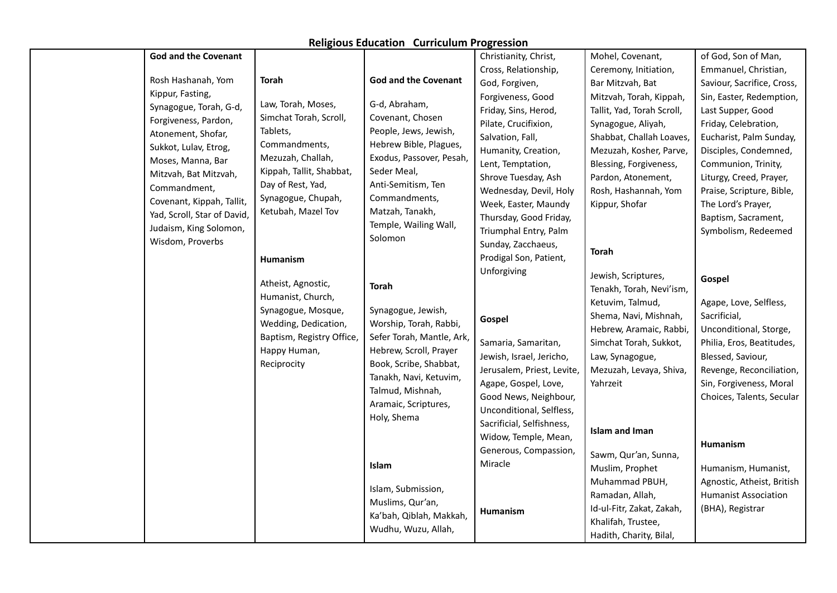| <b>Religious Education Curriculum Progression</b> |  |  |
|---------------------------------------------------|--|--|
|---------------------------------------------------|--|--|

| <b>God and the Covenant</b> |                           |                             | Christianity, Christ,      | Mohel, Covenant,           | of God, Son of Man,         |
|-----------------------------|---------------------------|-----------------------------|----------------------------|----------------------------|-----------------------------|
|                             |                           |                             | Cross, Relationship,       | Ceremony, Initiation,      | Emmanuel, Christian,        |
| Rosh Hashanah, Yom          | <b>Torah</b>              | <b>God and the Covenant</b> | God, Forgiven,             | Bar Mitzvah, Bat           | Saviour, Sacrifice, Cross,  |
| Kippur, Fasting,            |                           |                             | Forgiveness, Good          | Mitzvah, Torah, Kippah,    | Sin, Easter, Redemption,    |
| Synagogue, Torah, G-d,      | Law, Torah, Moses,        | G-d, Abraham,               | Friday, Sins, Herod,       | Tallit, Yad, Torah Scroll, | Last Supper, Good           |
| Forgiveness, Pardon,        | Simchat Torah, Scroll,    | Covenant, Chosen            | Pilate, Crucifixion,       | Synagogue, Aliyah,         | Friday, Celebration,        |
| Atonement, Shofar,          | Tablets,                  | People, Jews, Jewish,       | Salvation, Fall,           | Shabbat, Challah Loaves,   | Eucharist, Palm Sunday,     |
| Sukkot, Lulav, Etrog,       | Commandments,             | Hebrew Bible, Plagues,      | Humanity, Creation,        | Mezuzah, Kosher, Parve,    | Disciples, Condemned,       |
| Moses, Manna, Bar           | Mezuzah, Challah,         | Exodus, Passover, Pesah,    | Lent, Temptation,          | Blessing, Forgiveness,     | Communion, Trinity,         |
| Mitzvah, Bat Mitzvah,       | Kippah, Tallit, Shabbat,  | Seder Meal,                 | Shrove Tuesday, Ash        | Pardon, Atonement,         | Liturgy, Creed, Prayer,     |
| Commandment,                | Day of Rest, Yad,         | Anti-Semitism, Ten          | Wednesday, Devil, Holy     | Rosh, Hashannah, Yom       | Praise, Scripture, Bible,   |
| Covenant, Kippah, Tallit,   | Synagogue, Chupah,        | Commandments,               | Week, Easter, Maundy       | Kippur, Shofar             | The Lord's Prayer,          |
| Yad, Scroll, Star of David, | Ketubah, Mazel Tov        | Matzah, Tanakh,             | Thursday, Good Friday,     |                            | Baptism, Sacrament,         |
| Judaism, King Solomon,      |                           | Temple, Wailing Wall,       | Triumphal Entry, Palm      |                            | Symbolism, Redeemed         |
| Wisdom, Proverbs            |                           | Solomon                     | Sunday, Zacchaeus,         |                            |                             |
|                             | Humanism                  |                             | Prodigal Son, Patient,     | <b>Torah</b>               |                             |
|                             |                           |                             | Unforgiving                | Jewish, Scriptures,        |                             |
|                             | Atheist, Agnostic,        | <b>Torah</b>                |                            | Tenakh, Torah, Nevi'ism,   | Gospel                      |
|                             | Humanist, Church,         |                             |                            | Ketuvim, Talmud,           | Agape, Love, Selfless,      |
|                             | Synagogue, Mosque,        | Synagogue, Jewish,          |                            | Shema, Navi, Mishnah,      | Sacrificial,                |
|                             | Wedding, Dedication,      | Worship, Torah, Rabbi,      | Gospel                     | Hebrew, Aramaic, Rabbi,    | Unconditional, Storge,      |
|                             | Baptism, Registry Office, | Sefer Torah, Mantle, Ark,   | Samaria, Samaritan,        | Simchat Torah, Sukkot,     | Philia, Eros, Beatitudes,   |
|                             | Happy Human,              | Hebrew, Scroll, Prayer      | Jewish, Israel, Jericho,   | Law, Synagogue,            | Blessed, Saviour,           |
|                             | Reciprocity               | Book, Scribe, Shabbat,      | Jerusalem, Priest, Levite, | Mezuzah, Levaya, Shiva,    | Revenge, Reconciliation,    |
|                             |                           | Tanakh, Navi, Ketuvim,      | Agape, Gospel, Love,       | Yahrzeit                   | Sin, Forgiveness, Moral     |
|                             |                           | Talmud, Mishnah,            | Good News, Neighbour,      |                            | Choices, Talents, Secular   |
|                             |                           | Aramaic, Scriptures,        | Unconditional, Selfless,   |                            |                             |
|                             |                           | Holy, Shema                 | Sacrificial, Selfishness,  |                            |                             |
|                             |                           |                             | Widow, Temple, Mean,       | <b>Islam and Iman</b>      |                             |
|                             |                           |                             | Generous, Compassion,      |                            | <b>Humanism</b>             |
|                             |                           | Islam                       | Miracle                    | Sawm, Qur'an, Sunna,       |                             |
|                             |                           |                             |                            | Muslim, Prophet            | Humanism, Humanist,         |
|                             |                           | Islam, Submission,          |                            | Muhammad PBUH,             | Agnostic, Atheist, British  |
|                             |                           | Muslims, Qur'an,            |                            | Ramadan, Allah,            | <b>Humanist Association</b> |
|                             |                           | Ka'bah, Qiblah, Makkah,     | Humanism                   | Id-ul-Fitr, Zakat, Zakah,  | (BHA), Registrar            |
|                             |                           | Wudhu, Wuzu, Allah,         |                            | Khalifah, Trustee,         |                             |
|                             |                           |                             |                            | Hadith, Charity, Bilal,    |                             |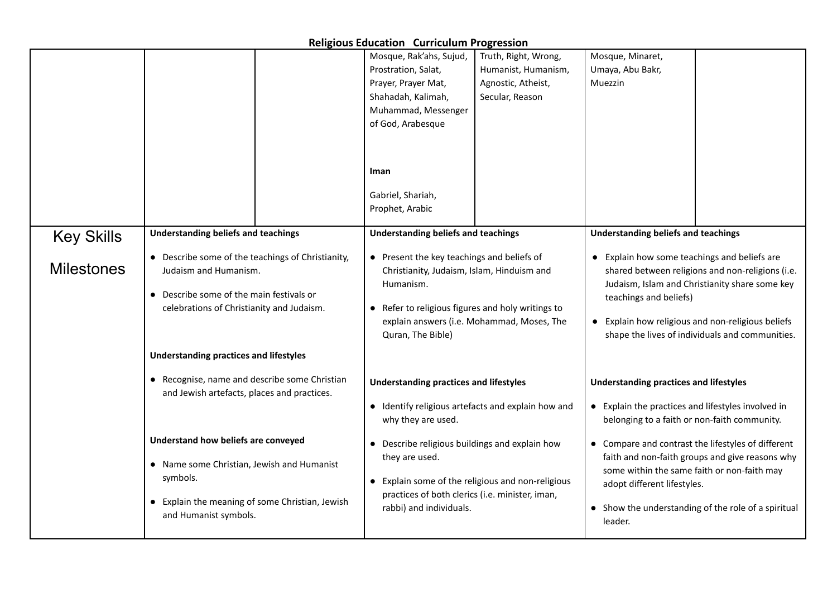| <b>Religious Education Curriculum Progression</b> |                                                                                                                                                                           |                                                                                                                                                                                                                                                                                 |                                                                                                                                                                                                                                                                                      |  |  |  |
|---------------------------------------------------|---------------------------------------------------------------------------------------------------------------------------------------------------------------------------|---------------------------------------------------------------------------------------------------------------------------------------------------------------------------------------------------------------------------------------------------------------------------------|--------------------------------------------------------------------------------------------------------------------------------------------------------------------------------------------------------------------------------------------------------------------------------------|--|--|--|
|                                                   |                                                                                                                                                                           | Mosque, Rak'ahs, Sujud,<br>Truth, Right, Wrong,<br>Prostration, Salat,<br>Humanist, Humanism,<br>Prayer, Prayer Mat,<br>Agnostic, Atheist,<br>Shahadah, Kalimah,<br>Secular, Reason<br>Muhammad, Messenger<br>of God, Arabesque<br>Iman<br>Gabriel, Shariah,<br>Prophet, Arabic | Mosque, Minaret,<br>Umaya, Abu Bakr,<br>Muezzin                                                                                                                                                                                                                                      |  |  |  |
| <b>Key Skills</b>                                 | <b>Understanding beliefs and teachings</b>                                                                                                                                | <b>Understanding beliefs and teachings</b>                                                                                                                                                                                                                                      | <b>Understanding beliefs and teachings</b>                                                                                                                                                                                                                                           |  |  |  |
| <b>Milestones</b>                                 | • Describe some of the teachings of Christianity,<br>Judaism and Humanism.<br>• Describe some of the main festivals or<br>celebrations of Christianity and Judaism.       | • Present the key teachings and beliefs of<br>Christianity, Judaism, Islam, Hinduism and<br>Humanism.<br>• Refer to religious figures and holy writings to<br>explain answers (i.e. Mohammad, Moses, The<br>Quran, The Bible)                                                   | • Explain how some teachings and beliefs are<br>shared between religions and non-religions (i.e.<br>Judaism, Islam and Christianity share some key<br>teachings and beliefs)<br>• Explain how religious and non-religious beliefs<br>shape the lives of individuals and communities. |  |  |  |
|                                                   | <b>Understanding practices and lifestyles</b>                                                                                                                             |                                                                                                                                                                                                                                                                                 |                                                                                                                                                                                                                                                                                      |  |  |  |
|                                                   | • Recognise, name and describe some Christian<br>and Jewish artefacts, places and practices.                                                                              | <b>Understanding practices and lifestyles</b><br>• Identify religious artefacts and explain how and<br>why they are used.                                                                                                                                                       | <b>Understanding practices and lifestyles</b><br>• Explain the practices and lifestyles involved in<br>belonging to a faith or non-faith community.                                                                                                                                  |  |  |  |
|                                                   | Understand how beliefs are conveyed<br>• Name some Christian, Jewish and Humanist<br>symbols.<br>• Explain the meaning of some Christian, Jewish<br>and Humanist symbols. | • Describe religious buildings and explain how<br>they are used.<br>• Explain some of the religious and non-religious<br>practices of both clerics (i.e. minister, iman,<br>rabbi) and individuals.                                                                             | • Compare and contrast the lifestyles of different<br>faith and non-faith groups and give reasons why<br>some within the same faith or non-faith may<br>adopt different lifestyles.<br>• Show the understanding of the role of a spiritual<br>leader.                                |  |  |  |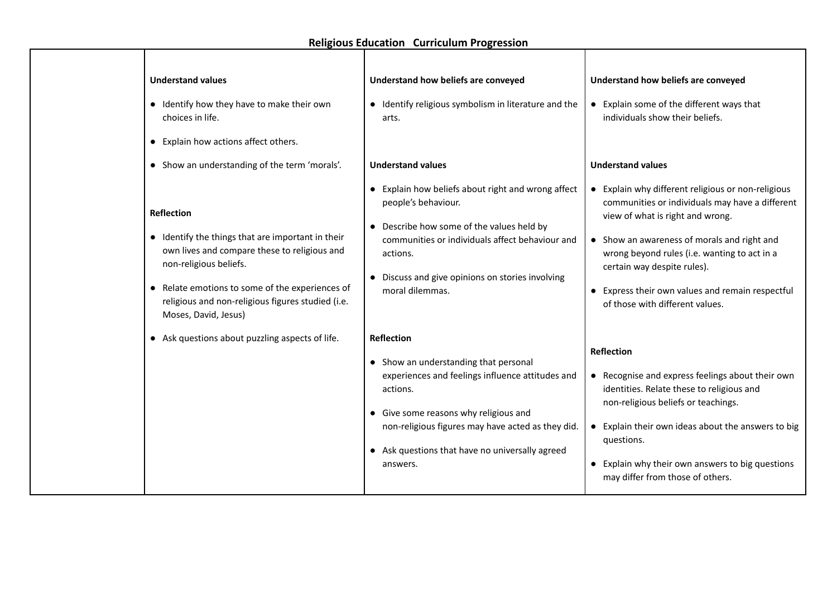| <b>Religious Education Curriculum Progression</b> |                                                                                                                                                                                                                                                                                                                                   |                                                                                                                                                                                                                                                                                         |                                                                                                                                                                                                                                                                                                                                                                |  |  |  |
|---------------------------------------------------|-----------------------------------------------------------------------------------------------------------------------------------------------------------------------------------------------------------------------------------------------------------------------------------------------------------------------------------|-----------------------------------------------------------------------------------------------------------------------------------------------------------------------------------------------------------------------------------------------------------------------------------------|----------------------------------------------------------------------------------------------------------------------------------------------------------------------------------------------------------------------------------------------------------------------------------------------------------------------------------------------------------------|--|--|--|
|                                                   | <b>Understand values</b><br>• Identify how they have to make their own<br>choices in life.<br>• Explain how actions affect others.                                                                                                                                                                                                | Understand how beliefs are conveyed<br>• Identify religious symbolism in literature and the<br>arts.<br><b>Understand values</b>                                                                                                                                                        | Understand how beliefs are conveyed<br>• Explain some of the different ways that<br>individuals show their beliefs.<br><b>Understand values</b>                                                                                                                                                                                                                |  |  |  |
|                                                   | • Show an understanding of the term 'morals'.<br><b>Reflection</b><br>• Identify the things that are important in their<br>own lives and compare these to religious and<br>non-religious beliefs.<br>• Relate emotions to some of the experiences of<br>religious and non-religious figures studied (i.e.<br>Moses, David, Jesus) | • Explain how beliefs about right and wrong affect<br>people's behaviour.<br>• Describe how some of the values held by<br>communities or individuals affect behaviour and<br>actions.<br>• Discuss and give opinions on stories involving<br>moral dilemmas.                            | • Explain why different religious or non-religious<br>communities or individuals may have a different<br>view of what is right and wrong.<br>• Show an awareness of morals and right and<br>wrong beyond rules (i.e. wanting to act in a<br>certain way despite rules).<br>• Express their own values and remain respectful<br>of those with different values. |  |  |  |
|                                                   | • Ask questions about puzzling aspects of life.                                                                                                                                                                                                                                                                                   | <b>Reflection</b><br>• Show an understanding that personal<br>experiences and feelings influence attitudes and<br>actions.<br>• Give some reasons why religious and<br>non-religious figures may have acted as they did.<br>• Ask questions that have no universally agreed<br>answers. | <b>Reflection</b><br>• Recognise and express feelings about their own<br>identities. Relate these to religious and<br>non-religious beliefs or teachings.<br>• Explain their own ideas about the answers to big<br>questions.<br>• Explain why their own answers to big questions<br>may differ from those of others.                                          |  |  |  |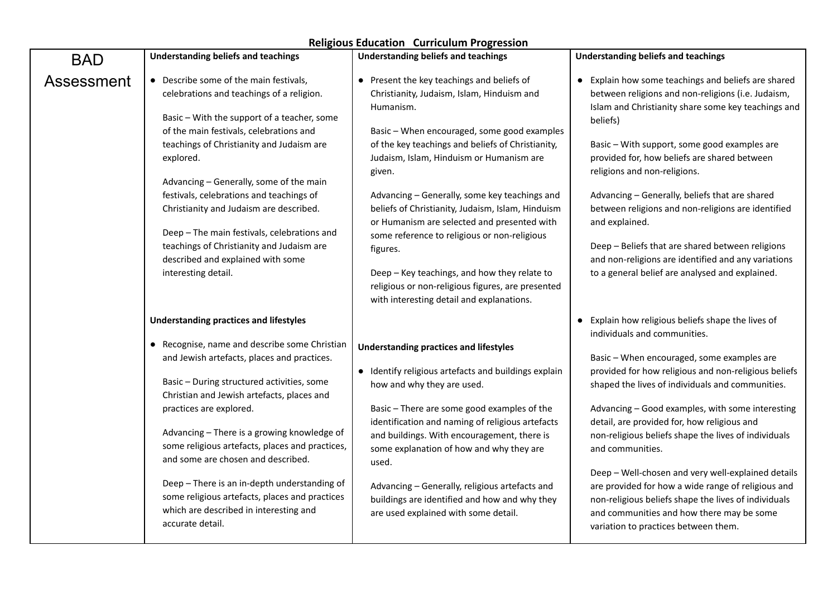| <b>Religious Education Curriculum Progression</b> |                                                                                                                                                                                                                                                                                                                                                                                                                                                                                                                                                                              |                                                                                                                                                                                                                                                                                                                                                                                                                                                                                                                                                                                                                                    |                                                                                                                                                                                                                                                                                                                                                                                                                                                                                                                                                                                                                                                                                                 |  |  |
|---------------------------------------------------|------------------------------------------------------------------------------------------------------------------------------------------------------------------------------------------------------------------------------------------------------------------------------------------------------------------------------------------------------------------------------------------------------------------------------------------------------------------------------------------------------------------------------------------------------------------------------|------------------------------------------------------------------------------------------------------------------------------------------------------------------------------------------------------------------------------------------------------------------------------------------------------------------------------------------------------------------------------------------------------------------------------------------------------------------------------------------------------------------------------------------------------------------------------------------------------------------------------------|-------------------------------------------------------------------------------------------------------------------------------------------------------------------------------------------------------------------------------------------------------------------------------------------------------------------------------------------------------------------------------------------------------------------------------------------------------------------------------------------------------------------------------------------------------------------------------------------------------------------------------------------------------------------------------------------------|--|--|
| <b>BAD</b>                                        | <b>Understanding beliefs and teachings</b>                                                                                                                                                                                                                                                                                                                                                                                                                                                                                                                                   | <b>Understanding beliefs and teachings</b>                                                                                                                                                                                                                                                                                                                                                                                                                                                                                                                                                                                         | <b>Understanding beliefs and teachings</b>                                                                                                                                                                                                                                                                                                                                                                                                                                                                                                                                                                                                                                                      |  |  |
| Assessment                                        | • Describe some of the main festivals,<br>celebrations and teachings of a religion.<br>Basic - With the support of a teacher, some<br>of the main festivals, celebrations and<br>teachings of Christianity and Judaism are<br>explored.<br>Advancing - Generally, some of the main<br>festivals, celebrations and teachings of<br>Christianity and Judaism are described.<br>Deep - The main festivals, celebrations and<br>teachings of Christianity and Judaism are<br>described and explained with some<br>interesting detail.                                            | • Present the key teachings and beliefs of<br>Christianity, Judaism, Islam, Hinduism and<br>Humanism.<br>Basic - When encouraged, some good examples<br>of the key teachings and beliefs of Christianity,<br>Judaism, Islam, Hinduism or Humanism are<br>given.<br>Advancing - Generally, some key teachings and<br>beliefs of Christianity, Judaism, Islam, Hinduism<br>or Humanism are selected and presented with<br>some reference to religious or non-religious<br>figures.<br>Deep - Key teachings, and how they relate to<br>religious or non-religious figures, are presented<br>with interesting detail and explanations. | • Explain how some teachings and beliefs are shared<br>between religions and non-religions (i.e. Judaism,<br>Islam and Christianity share some key teachings and<br>beliefs)<br>Basic - With support, some good examples are<br>provided for, how beliefs are shared between<br>religions and non-religions.<br>Advancing - Generally, beliefs that are shared<br>between religions and non-religions are identified<br>and explained.<br>Deep - Beliefs that are shared between religions<br>and non-religions are identified and any variations<br>to a general belief are analysed and explained.                                                                                            |  |  |
|                                                   | <b>Understanding practices and lifestyles</b><br>• Recognise, name and describe some Christian<br>and Jewish artefacts, places and practices.<br>Basic - During structured activities, some<br>Christian and Jewish artefacts, places and<br>practices are explored.<br>Advancing - There is a growing knowledge of<br>some religious artefacts, places and practices,<br>and some are chosen and described.<br>Deep - There is an in-depth understanding of<br>some religious artefacts, places and practices<br>which are described in interesting and<br>accurate detail. | <b>Understanding practices and lifestyles</b><br>• Identify religious artefacts and buildings explain<br>how and why they are used.<br>Basic - There are some good examples of the<br>identification and naming of religious artefacts<br>and buildings. With encouragement, there is<br>some explanation of how and why they are<br>used.<br>Advancing - Generally, religious artefacts and<br>buildings are identified and how and why they<br>are used explained with some detail.                                                                                                                                              | Explain how religious beliefs shape the lives of<br>$\bullet$<br>individuals and communities.<br>Basic - When encouraged, some examples are<br>provided for how religious and non-religious beliefs<br>shaped the lives of individuals and communities.<br>Advancing - Good examples, with some interesting<br>detail, are provided for, how religious and<br>non-religious beliefs shape the lives of individuals<br>and communities.<br>Deep - Well-chosen and very well-explained details<br>are provided for how a wide range of religious and<br>non-religious beliefs shape the lives of individuals<br>and communities and how there may be some<br>variation to practices between them. |  |  |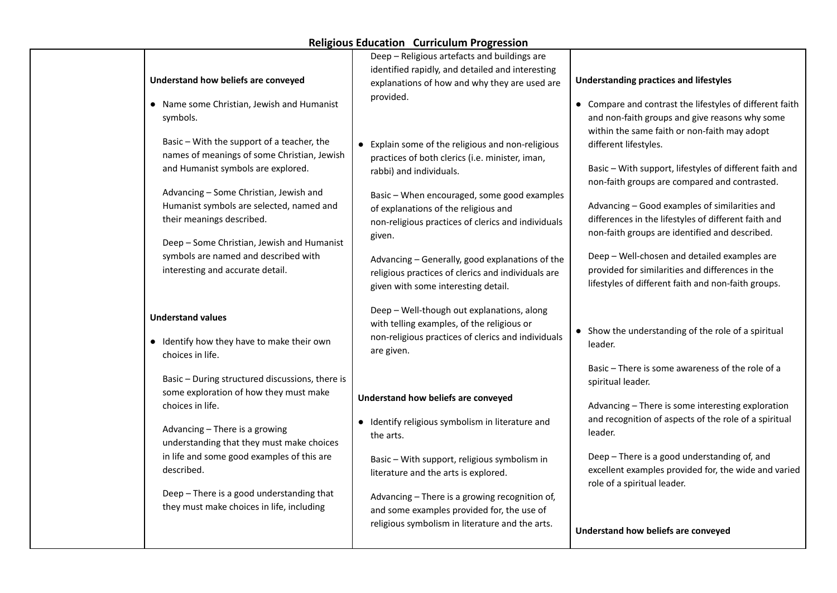|                                                                                                                                                               | Deep - Religious artefacts and buildings are                                                                                                                 |                                                                                                                                                            |
|---------------------------------------------------------------------------------------------------------------------------------------------------------------|--------------------------------------------------------------------------------------------------------------------------------------------------------------|------------------------------------------------------------------------------------------------------------------------------------------------------------|
|                                                                                                                                                               | identified rapidly, and detailed and interesting                                                                                                             |                                                                                                                                                            |
| Understand how beliefs are conveyed                                                                                                                           | explanations of how and why they are used are                                                                                                                | <b>Understanding practices and lifestyles</b>                                                                                                              |
| • Name some Christian, Jewish and Humanist<br>symbols.                                                                                                        | provided.                                                                                                                                                    | • Compare and contrast the lifestyles of different faith<br>and non-faith groups and give reasons why some<br>within the same faith or non-faith may adopt |
| Basic - With the support of a teacher, the<br>names of meanings of some Christian, Jewish<br>and Humanist symbols are explored.                               | • Explain some of the religious and non-religious<br>practices of both clerics (i.e. minister, iman,<br>rabbi) and individuals.                              | different lifestyles.<br>Basic - With support, lifestyles of different faith and<br>non-faith groups are compared and contrasted.                          |
| Advancing - Some Christian, Jewish and<br>Humanist symbols are selected, named and<br>their meanings described.<br>Deep - Some Christian, Jewish and Humanist | Basic - When encouraged, some good examples<br>of explanations of the religious and<br>non-religious practices of clerics and individuals<br>given.          | Advancing - Good examples of similarities and<br>differences in the lifestyles of different faith and<br>non-faith groups are identified and described.    |
| symbols are named and described with<br>interesting and accurate detail.                                                                                      | Advancing - Generally, good explanations of the<br>religious practices of clerics and individuals are<br>given with some interesting detail.                 | Deep - Well-chosen and detailed examples are<br>provided for similarities and differences in the<br>lifestyles of different faith and non-faith groups.    |
| <b>Understand values</b><br>• Identify how they have to make their own<br>choices in life.                                                                    | Deep - Well-though out explanations, along<br>with telling examples, of the religious or<br>non-religious practices of clerics and individuals<br>are given. | • Show the understanding of the role of a spiritual<br>leader.                                                                                             |
| Basic - During structured discussions, there is<br>some exploration of how they must make                                                                     |                                                                                                                                                              | Basic - There is some awareness of the role of a<br>spiritual leader.                                                                                      |
| choices in life.                                                                                                                                              | Understand how beliefs are conveyed                                                                                                                          | Advancing - There is some interesting exploration                                                                                                          |
| Advancing - There is a growing<br>understanding that they must make choices                                                                                   | • Identify religious symbolism in literature and<br>the arts.                                                                                                | and recognition of aspects of the role of a spiritual<br>leader.                                                                                           |
| in life and some good examples of this are<br>described.                                                                                                      | Basic - With support, religious symbolism in<br>literature and the arts is explored.                                                                         | Deep - There is a good understanding of, and<br>excellent examples provided for, the wide and varied<br>role of a spiritual leader.                        |
| Deep - There is a good understanding that<br>they must make choices in life, including                                                                        | Advancing - There is a growing recognition of,<br>and some examples provided for, the use of<br>religious symbolism in literature and the arts.              | Understand how beliefs are conveyed                                                                                                                        |
|                                                                                                                                                               |                                                                                                                                                              |                                                                                                                                                            |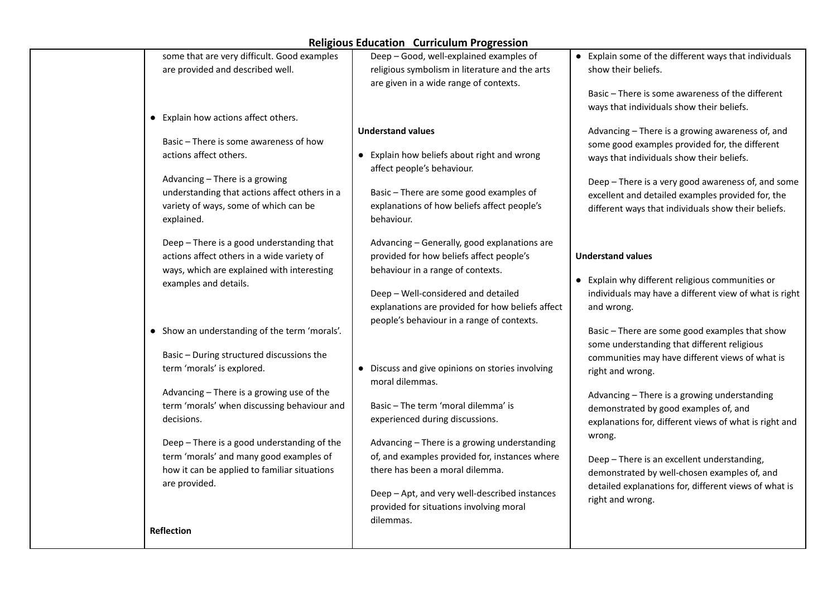| some that are very difficult. Good examples<br>are provided and described well.<br>• Explain how actions affect others.                                                                                                                                                                               | Deep - Good, well-explained examples of<br>religious symbolism in literature and the arts<br>are given in a wide range of contexts.                                                                                                                                                                                                     | • Explain some of the different ways that individuals<br>show their beliefs.<br>Basic - There is some awareness of the different<br>ways that individuals show their beliefs.                                                                                                                                                                 |
|-------------------------------------------------------------------------------------------------------------------------------------------------------------------------------------------------------------------------------------------------------------------------------------------------------|-----------------------------------------------------------------------------------------------------------------------------------------------------------------------------------------------------------------------------------------------------------------------------------------------------------------------------------------|-----------------------------------------------------------------------------------------------------------------------------------------------------------------------------------------------------------------------------------------------------------------------------------------------------------------------------------------------|
| Basic - There is some awareness of how<br>actions affect others.<br>Advancing - There is a growing<br>understanding that actions affect others in a<br>variety of ways, some of which can be<br>explained.<br>Deep - There is a good understanding that<br>actions affect others in a wide variety of | <b>Understand values</b><br>• Explain how beliefs about right and wrong<br>affect people's behaviour.<br>Basic - There are some good examples of<br>explanations of how beliefs affect people's<br>behaviour.<br>Advancing - Generally, good explanations are<br>provided for how beliefs affect people's                               | Advancing - There is a growing awareness of, and<br>some good examples provided for, the different<br>ways that individuals show their beliefs.<br>Deep - There is a very good awareness of, and some<br>excellent and detailed examples provided for, the<br>different ways that individuals show their beliefs.<br><b>Understand values</b> |
| ways, which are explained with interesting<br>examples and details.<br>• Show an understanding of the term 'morals'.<br>Basic - During structured discussions the<br>term 'morals' is explored.                                                                                                       | behaviour in a range of contexts.<br>Deep - Well-considered and detailed<br>explanations are provided for how beliefs affect<br>people's behaviour in a range of contexts.<br>• Discuss and give opinions on stories involving                                                                                                          | • Explain why different religious communities or<br>individuals may have a different view of what is right<br>and wrong.<br>Basic - There are some good examples that show<br>some understanding that different religious<br>communities may have different views of what is<br>right and wrong.                                              |
| Advancing - There is a growing use of the<br>term 'morals' when discussing behaviour and<br>decisions.<br>Deep - There is a good understanding of the<br>term 'morals' and many good examples of<br>how it can be applied to familiar situations<br>are provided.<br>Reflection                       | moral dilemmas.<br>Basic - The term 'moral dilemma' is<br>experienced during discussions.<br>Advancing - There is a growing understanding<br>of, and examples provided for, instances where<br>there has been a moral dilemma.<br>Deep - Apt, and very well-described instances<br>provided for situations involving moral<br>dilemmas. | Advancing - There is a growing understanding<br>demonstrated by good examples of, and<br>explanations for, different views of what is right and<br>wrong.<br>Deep - There is an excellent understanding,<br>demonstrated by well-chosen examples of, and<br>detailed explanations for, different views of what is<br>right and wrong.         |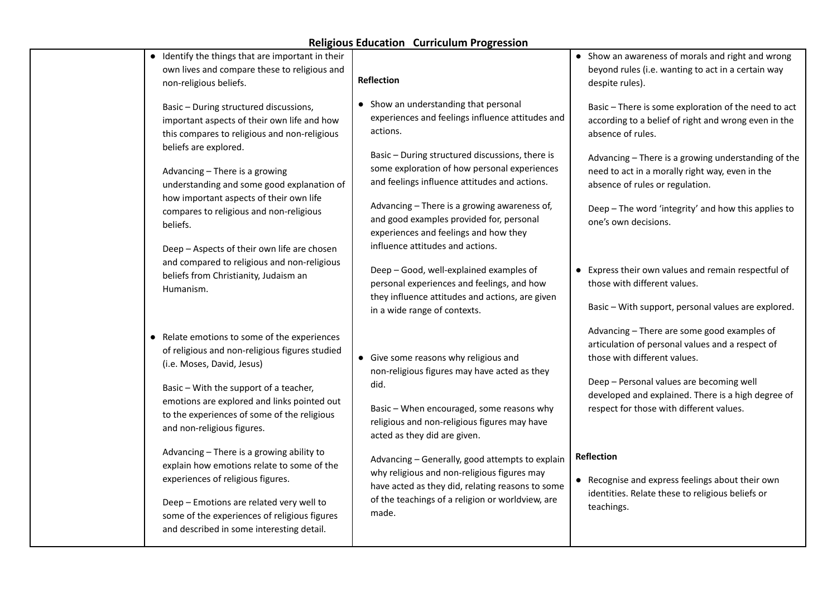|                       |                                                                                                                                                                                                                                                                                                                                                                                                                                                                                                                                                                             | <b>Religious Education Curriculum Progression</b>                                                                                                                                                                                                                                                                                                                                                                                                                                                                                                                                                              |                                                                                                                                                                                                                                                                                                                                                                                                                                                                                                             |
|-----------------------|-----------------------------------------------------------------------------------------------------------------------------------------------------------------------------------------------------------------------------------------------------------------------------------------------------------------------------------------------------------------------------------------------------------------------------------------------------------------------------------------------------------------------------------------------------------------------------|----------------------------------------------------------------------------------------------------------------------------------------------------------------------------------------------------------------------------------------------------------------------------------------------------------------------------------------------------------------------------------------------------------------------------------------------------------------------------------------------------------------------------------------------------------------------------------------------------------------|-------------------------------------------------------------------------------------------------------------------------------------------------------------------------------------------------------------------------------------------------------------------------------------------------------------------------------------------------------------------------------------------------------------------------------------------------------------------------------------------------------------|
|                       | • Identify the things that are important in their<br>own lives and compare these to religious and<br>non-religious beliefs.                                                                                                                                                                                                                                                                                                                                                                                                                                                 | <b>Reflection</b>                                                                                                                                                                                                                                                                                                                                                                                                                                                                                                                                                                                              | • Show an awareness of morals and right and wrong<br>beyond rules (i.e. wanting to act in a certain way<br>despite rules).                                                                                                                                                                                                                                                                                                                                                                                  |
| beliefs.<br>Humanism. | Basic - During structured discussions,<br>important aspects of their own life and how<br>this compares to religious and non-religious<br>beliefs are explored.<br>Advancing - There is a growing<br>understanding and some good explanation of<br>how important aspects of their own life<br>compares to religious and non-religious<br>Deep - Aspects of their own life are chosen<br>and compared to religious and non-religious<br>beliefs from Christianity, Judaism an                                                                                                 | • Show an understanding that personal<br>experiences and feelings influence attitudes and<br>actions.<br>Basic - During structured discussions, there is<br>some exploration of how personal experiences<br>and feelings influence attitudes and actions.<br>Advancing - There is a growing awareness of,<br>and good examples provided for, personal<br>experiences and feelings and how they<br>influence attitudes and actions.<br>Deep - Good, well-explained examples of<br>personal experiences and feelings, and how<br>they influence attitudes and actions, are given<br>in a wide range of contexts. | Basic - There is some exploration of the need to act<br>according to a belief of right and wrong even in the<br>absence of rules.<br>Advancing - There is a growing understanding of the<br>need to act in a morally right way, even in the<br>absence of rules or regulation.<br>Deep - The word 'integrity' and how this applies to<br>one's own decisions.<br>• Express their own values and remain respectful of<br>those with different values.<br>Basic - With support, personal values are explored. |
|                       | • Relate emotions to some of the experiences<br>of religious and non-religious figures studied<br>(i.e. Moses, David, Jesus)<br>Basic - With the support of a teacher,<br>emotions are explored and links pointed out<br>to the experiences of some of the religious<br>and non-religious figures.<br>Advancing - There is a growing ability to<br>explain how emotions relate to some of the<br>experiences of religious figures.<br>Deep - Emotions are related very well to<br>some of the experiences of religious figures<br>and described in some interesting detail. | • Give some reasons why religious and<br>non-religious figures may have acted as they<br>did.<br>Basic - When encouraged, some reasons why<br>religious and non-religious figures may have<br>acted as they did are given.<br>Advancing - Generally, good attempts to explain<br>why religious and non-religious figures may<br>have acted as they did, relating reasons to some<br>of the teachings of a religion or worldview, are<br>made.                                                                                                                                                                  | Advancing - There are some good examples of<br>articulation of personal values and a respect of<br>those with different values.<br>Deep - Personal values are becoming well<br>developed and explained. There is a high degree of<br>respect for those with different values.<br>Reflection<br>• Recognise and express feelings about their own<br>identities. Relate these to religious beliefs or<br>teachings.                                                                                           |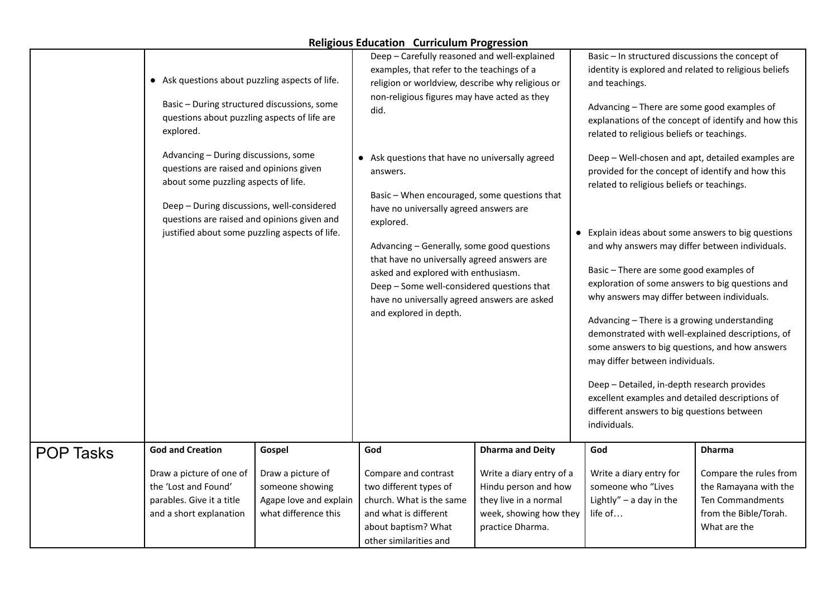|                  | • Ask questions about puzzling aspects of life.<br>Basic - During structured discussions, some<br>questions about puzzling aspects of life are<br>explored.<br>Advancing - During discussions, some<br>questions are raised and opinions given<br>about some puzzling aspects of life.<br>Deep - During discussions, well-considered<br>questions are raised and opinions given and<br>justified about some puzzling aspects of life. |                                                                                                  | Deep - Carefully reasoned and well-explained<br>examples, that refer to the teachings of a<br>religion or worldview, describe why religious or<br>non-religious figures may have acted as they<br>did.<br>• Ask questions that have no universally agreed<br>answers.<br>Basic - When encouraged, some questions that<br>have no universally agreed answers are<br>explored.<br>Advancing - Generally, some good questions<br>that have no universally agreed answers are<br>asked and explored with enthusiasm.<br>Deep - Some well-considered questions that<br>have no universally agreed answers are asked<br>and explored in depth. |                                                                                                                                                    | Basic - In structured discussions the concept of<br>identity is explored and related to religious beliefs<br>and teachings.<br>Advancing - There are some good examples of<br>explanations of the concept of identify and how this<br>related to religious beliefs or teachings.<br>Deep - Well-chosen and apt, detailed examples are<br>provided for the concept of identify and how this<br>related to religious beliefs or teachings.<br>• Explain ideas about some answers to big questions<br>and why answers may differ between individuals.<br>Basic - There are some good examples of<br>exploration of some answers to big questions and<br>why answers may differ between individuals.<br>Advancing - There is a growing understanding<br>demonstrated with well-explained descriptions, of<br>some answers to big questions, and how answers<br>may differ between individuals.<br>Deep - Detailed, in-depth research provides<br>excellent examples and detailed descriptions of<br>different answers to big questions between<br>individuals. |                                                                                                                               |
|------------------|---------------------------------------------------------------------------------------------------------------------------------------------------------------------------------------------------------------------------------------------------------------------------------------------------------------------------------------------------------------------------------------------------------------------------------------|--------------------------------------------------------------------------------------------------|------------------------------------------------------------------------------------------------------------------------------------------------------------------------------------------------------------------------------------------------------------------------------------------------------------------------------------------------------------------------------------------------------------------------------------------------------------------------------------------------------------------------------------------------------------------------------------------------------------------------------------------|----------------------------------------------------------------------------------------------------------------------------------------------------|------------------------------------------------------------------------------------------------------------------------------------------------------------------------------------------------------------------------------------------------------------------------------------------------------------------------------------------------------------------------------------------------------------------------------------------------------------------------------------------------------------------------------------------------------------------------------------------------------------------------------------------------------------------------------------------------------------------------------------------------------------------------------------------------------------------------------------------------------------------------------------------------------------------------------------------------------------------------------------------------------------------------------------------------------------|-------------------------------------------------------------------------------------------------------------------------------|
| <b>POP Tasks</b> | <b>God and Creation</b><br>Draw a picture of one of<br>the 'Lost and Found'<br>parables. Give it a title<br>and a short explanation                                                                                                                                                                                                                                                                                                   | Gospel<br>Draw a picture of<br>someone showing<br>Agape love and explain<br>what difference this | God<br>Compare and contrast<br>two different types of<br>church. What is the same<br>and what is different<br>about baptism? What<br>other similarities and                                                                                                                                                                                                                                                                                                                                                                                                                                                                              | <b>Dharma and Deity</b><br>Write a diary entry of a<br>Hindu person and how<br>they live in a normal<br>week, showing how they<br>practice Dharma. | God<br>Write a diary entry for<br>someone who "Lives<br>Lightly" $-$ a day in the<br>life of                                                                                                                                                                                                                                                                                                                                                                                                                                                                                                                                                                                                                                                                                                                                                                                                                                                                                                                                                               | <b>Dharma</b><br>Compare the rules from<br>the Ramayana with the<br>Ten Commandments<br>from the Bible/Torah.<br>What are the |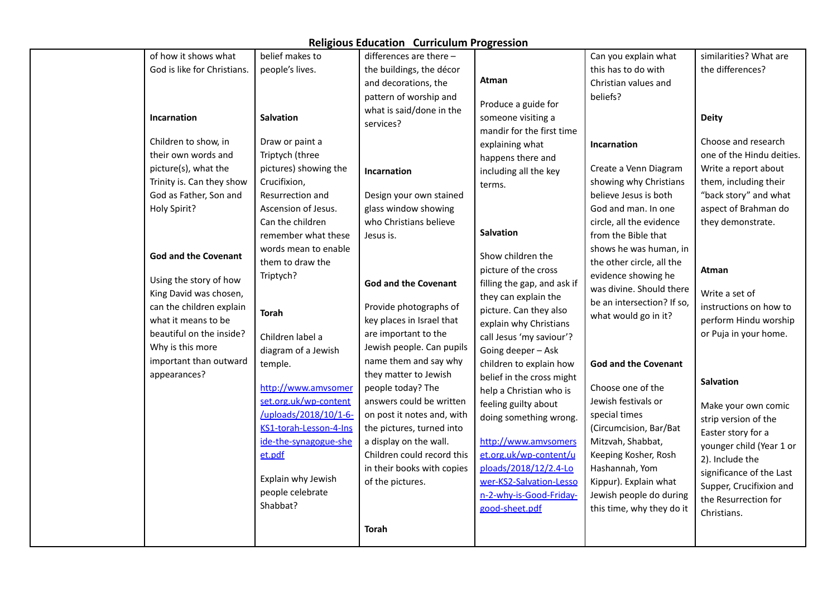| of how it shows what        | belief makes to        | differences are there -     |                             | Can you explain what                                | similarities? What are    |
|-----------------------------|------------------------|-----------------------------|-----------------------------|-----------------------------------------------------|---------------------------|
| God is like for Christians. | people's lives.        | the buildings, the décor    |                             | this has to do with                                 | the differences?          |
|                             |                        | and decorations, the        | Atman                       | Christian values and                                |                           |
|                             |                        | pattern of worship and      |                             | beliefs?                                            |                           |
|                             |                        | what is said/done in the    | Produce a guide for         |                                                     |                           |
| <b>Incarnation</b>          | <b>Salvation</b>       | services?                   | someone visiting a          |                                                     | <b>Deity</b>              |
| Children to show, in        | Draw or paint a        |                             | mandir for the first time   |                                                     | Choose and research       |
| their own words and         | Triptych (three        |                             | explaining what             | Incarnation                                         | one of the Hindu deities. |
| picture(s), what the        | pictures) showing the  |                             | happens there and           | Create a Venn Diagram                               | Write a report about      |
| Trinity is. Can they show   | Crucifixion,           | <b>Incarnation</b>          | including all the key       | showing why Christians                              | them, including their     |
| God as Father, Son and      | Resurrection and       | Design your own stained     | terms.                      | believe Jesus is both                               | "back story" and what     |
| Holy Spirit?                | Ascension of Jesus.    | glass window showing        |                             | God and man. In one                                 | aspect of Brahman do      |
|                             | Can the children       | who Christians believe      |                             | circle, all the evidence                            | they demonstrate.         |
|                             | remember what these    | Jesus is.                   | <b>Salvation</b>            | from the Bible that                                 |                           |
|                             | words mean to enable   |                             |                             |                                                     |                           |
| <b>God and the Covenant</b> | them to draw the       |                             | Show children the           | shows he was human, in<br>the other circle, all the |                           |
|                             |                        |                             | picture of the cross        |                                                     | Atman                     |
| Using the story of how      | Triptych?              | <b>God and the Covenant</b> | filling the gap, and ask if | evidence showing he                                 |                           |
| King David was chosen,      |                        |                             | they can explain the        | was divine. Should there                            | Write a set of            |
| can the children explain    | Torah                  | Provide photographs of      | picture. Can they also      | be an intersection? If so,                          | instructions on how to    |
| what it means to be         |                        | key places in Israel that   | explain why Christians      | what would go in it?                                | perform Hindu worship     |
| beautiful on the inside?    | Children label a       | are important to the        | call Jesus 'my saviour'?    |                                                     | or Puja in your home.     |
| Why is this more            | diagram of a Jewish    | Jewish people. Can pupils   | Going deeper - Ask          |                                                     |                           |
| important than outward      | temple.                | name them and say why       | children to explain how     | <b>God and the Covenant</b>                         |                           |
| appearances?                |                        | they matter to Jewish       | belief in the cross might   |                                                     | <b>Salvation</b>          |
|                             | http://www.amvsomer    | people today? The           | help a Christian who is     | Choose one of the                                   |                           |
|                             | set.org.uk/wp-content  | answers could be written    | feeling guilty about        | Jewish festivals or                                 | Make your own comic       |
|                             | /uploads/2018/10/1-6-  | on post it notes and, with  | doing something wrong.      | special times                                       | strip version of the      |
|                             | KS1-torah-Lesson-4-Ins | the pictures, turned into   |                             | (Circumcision, Bar/Bat                              | Easter story for a        |
|                             | ide-the-synagogue-she  | a display on the wall.      | http://www.amvsomers        | Mitzvah, Shabbat,                                   | younger child (Year 1 or  |
|                             | et.pdf                 | Children could record this  | et.org.uk/wp-content/u      | Keeping Kosher, Rosh                                | 2). Include the           |
|                             |                        | in their books with copies  | ploads/2018/12/2.4-Lo       | Hashannah, Yom                                      | significance of the Last  |
|                             | Explain why Jewish     | of the pictures.            | wer-KS2-Salvation-Lesso     | Kippur). Explain what                               | Supper, Crucifixion and   |
|                             | people celebrate       |                             | n-2-why-is-Good-Friday-     | Jewish people do during                             | the Resurrection for      |
|                             | Shabbat?               |                             | good-sheet.pdf              | this time, why they do it                           | Christians.               |
|                             |                        | <b>Torah</b>                |                             |                                                     |                           |
|                             |                        |                             |                             |                                                     |                           |
|                             |                        |                             |                             |                                                     |                           |